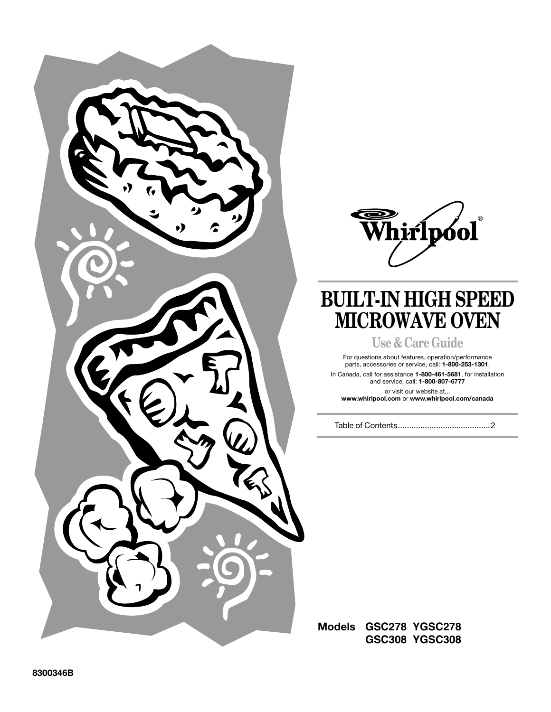



# **BUILT-IN HIGH SPEED MICROWAVE OVEN**

**Use & Care Guide**

For questions about features, operation/performance parts, accessories or service, call: **1-800-253-1301**.

In Canada, call for assistance **1-800-461-5681**, for installation and service, call: **1-800-807-6777**

or visit our website at... **www.whirlpool.com** or **www.whirlpool.com/canada**

Table of Contents.........................................2

**Models GSC278 YGSC278 GSC308 YGSC308**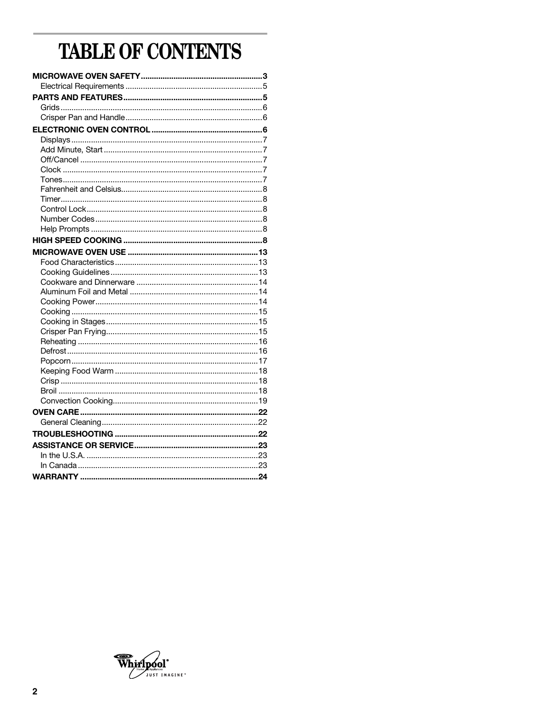# TABLE OF CONTENTS

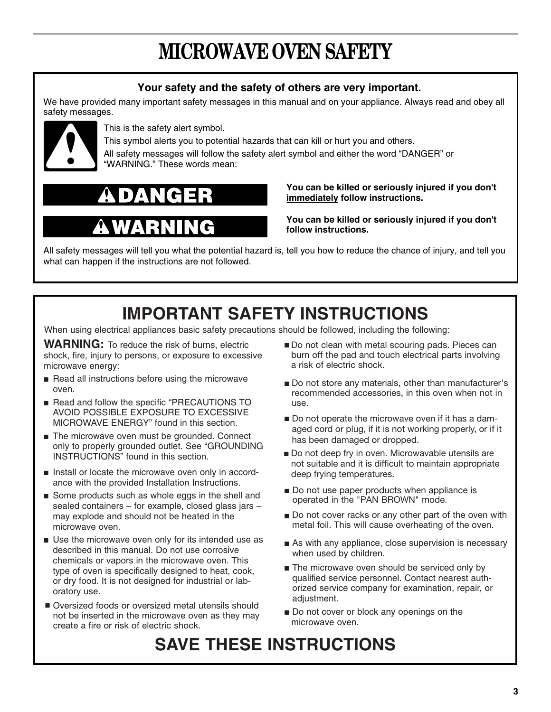# **MICROWAVE OVEN SAFETY**

# **Your safety and the safety of others are very important.**

We have provided many important safety messages in this manual and on your appliance. Always read and obey all safety messages.



This is the safety alert symbol.

This symbol alerts you to potential hazards that can kill or hurt you and others.

All safety messages will follow the safety alert symbol and either the word "DANGER" or "WARNING." These words mean:

# ID) H

# 1 P.Z

# **You can be killed or seriously injured if you don't immediately follow instructions.**

**You can be killed or seriously injured if you don't follow instructions.**

All safety messages will tell you what the potential hazard is, tell you how to reduce the chance of injury, and tell you what can happen if the instructions are not followed.

# **IMPORTANT SAFETY INSTRUCTIONS**

When using electrical appliances basic safety precautions should be followed, including the following:

**WARNING:** To reduce the risk of burns, electric shock, fire, injury to persons, or exposure to excessive microwave energy:

- Read all instructions before using the microwave oven.
- Read and follow the specific "PRECAUTIONS TO AVOID POSSIBLE EXPOSURE TO EXCESSIVE MICROWAVE ENERGY" found in this section.
- The microwave oven must be grounded. Connect only to properly grounded outlet. See "GROUNDING INSTRUCTIONS" found in this section.
- Install or locate the microwave oven only in accordance with the provided Installation Instructions.
- Some products such as whole eggs in the shell and sealed containers – for example, closed glass jars – may explode and should not be heated in the microwave oven.
- Use the microwave oven only for its intended use as described in this manual. Do not use corrosive chemicals or vapors in the microwave oven. This type of oven is specifically designed to heat, cook, or dry food. It is not designed for industrial or laboratory use.
- Oversized foods or oversized metal utensils should not be inserted in the microwave oven as they may create a fire or risk of electric shock.
- Do not clean with metal scouring pads. Pieces can burn off the pad and touch electrical parts involving a risk of electric shock.
- Do not store any materials, other than manufacturer's recommended accessories, in this oven when not in use.
- Do not operate the microwave oven if it has a damaged cord or plug, if it is not working properly, or if it has been damaged or dropped.
- Do not deep fry in oven. Microwavable utensils are not suitable and it is difficult to maintain appropriate deep frying temperatures.
- Do not use paper products when appliance is operated in the "PAN BROWN" mode.
- Do not cover racks or any other part of the oven with metal foil. This will cause overheating of the oven.
- As with any appliance, close supervision is necessary when used by children.
- The microwave oven should be serviced only by qualified service personnel. Contact nearest authorized service company for examination, repair, or adjustment.
- Do not cover or block any openings on the microwave oven.

# **SAVE THESE INSTRUCTIONS**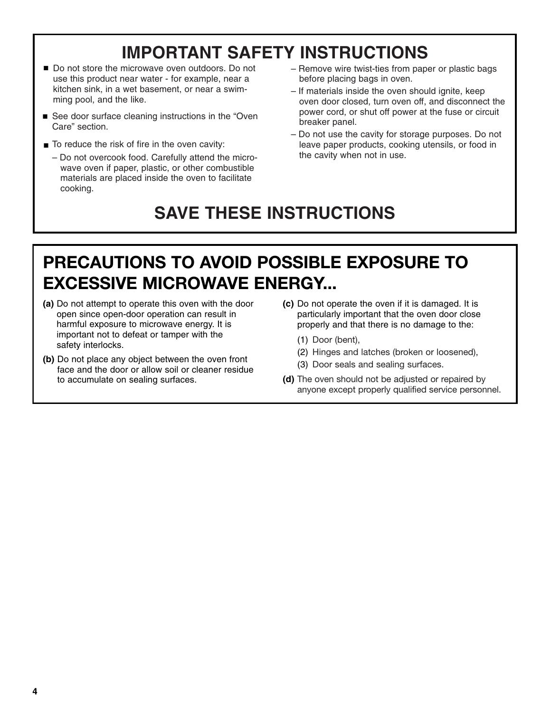# **IMPORTANT SAFETY INSTRUCTIONS**

- Do not store the microwave oven outdoors. Do not use this product near water - for example, near a kitchen sink, in a wet basement, or near a swimming pool, and the like.
- See door surface cleaning instructions in the "Oven Care" section.
- To reduce the risk of fire in the oven cavity:
	- Do not overcook food. Carefully attend the micro wave oven if paper, plastic, or other combustible materials are placed inside the oven to facilitate cooking.
- Remove wire twist-ties from paper or plastic bags before placing bags in oven.
- If materials inside the oven should ignite, keep oven door closed, turn oven off, and disconnect the power cord, or shut off power at the fuse or circuit breaker panel.
- Do not use the cavity for storage purposes. Do not leave paper products, cooking utensils, or food in the cavity when not in use.

# **SAVE THESE INSTRUCTIONS**

# **PRECAUTIONS TO AVOID POSSIBLE EXPOSURE TO EXCESSIVE MICROWAVE ENERGY...**

- **(a)** Do not attempt to operate this oven with the door open since open-door operation can result in harmful exposure to microwave energy. It is important not to defeat or tamper with the safety interlocks.
- **(b)** Do not place any object between the oven front face and the door or allow soil or cleaner residue to accumulate on sealing surfaces.
- **(c)** Do not operate the oven if it is damaged. It is particularly important that the oven door close properly and that there is no damage to the:
	- (1) Door (bent),
	- (2) Hinges and latches (broken or loosened),
	- (3) Door seals and sealing surfaces.
- **(d)** The oven should not be adjusted or repaired by anyone except properly qualified service personnel.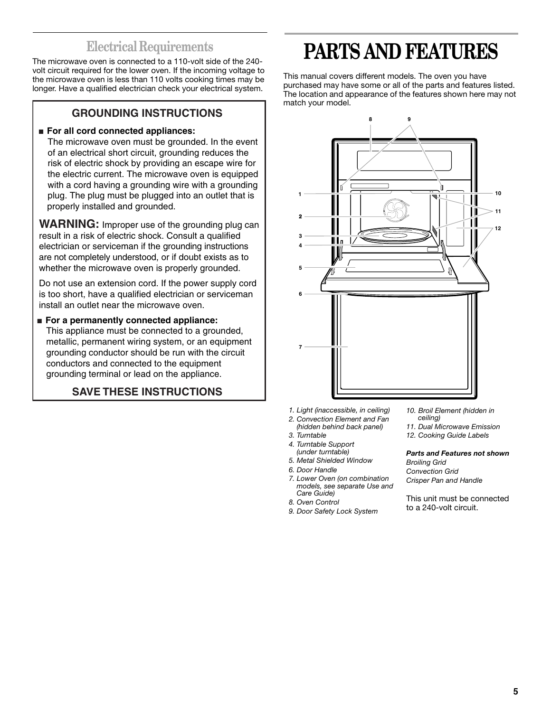# **Electrical Requirements**

The microwave oven is connected to a 110-volt side of the 240 volt circuit required for the lower oven. If the incoming voltage to the microwave oven is less than 110 volts cooking times may be longer. Have a qualified electrician check your electrical system.

# **GROUNDING INSTRUCTIONS**

# ■ **For all cord connected appliances:**

 The microwave oven must be grounded. In the event of an electrical short circuit, grounding reduces the risk of electric shock by providing an escape wire for the electric current. The microwave oven is equipped with a cord having a grounding wire with a grounding plug. The plug must be plugged into an outlet that is properly installed and grounded.

**WARNING:** Improper use of the grounding plug can result in a risk of electric shock. Consult a qualified electrician or serviceman if the grounding instructions are not completely understood, or if doubt exists as to whether the microwave oven is properly grounded.

Do not use an extension cord. If the power supply cord is too short, have a qualified electrician or serviceman install an outlet near the microwave oven.

# ■ **For a permanently connected appliance:**

 This appliance must be connected to a grounded, metallic, permanent wiring system, or an equipment grounding conductor should be run with the circuit conductors and connected to the equipment grounding terminal or lead on the appliance.

# **SAVE THESE INSTRUCTIONS**

# **PARTS AND FEATURES**

This manual covers different models. The oven you have purchased may have some or all of the parts and features listed. The location and appearance of the features shown here may not match your model.



- *1. Light (inaccessible, in ceiling)*
- *2. Convection Element and Fan (hidden behind back panel)*
- *3. Turntable*
- *4. Turntable Support*
- *(under turntable)*
- *5. Metal Shielded Window*
- *6. Door Handle*
- *7. Lower Oven (on combination models, see separate Use and Care Guide)*
- *8. Oven Control*
- *9. Door Safety Lock System*
- *10. Broil Element (hidden in ceiling)*
- *11. Dual Microwave Emission*
- *12. Cooking Guide Labels*

#### *Parts and Features not shown Broiling Grid Convection Grid*

*Crisper Pan and Handle*

This unit must be connected to a 240-volt circuit.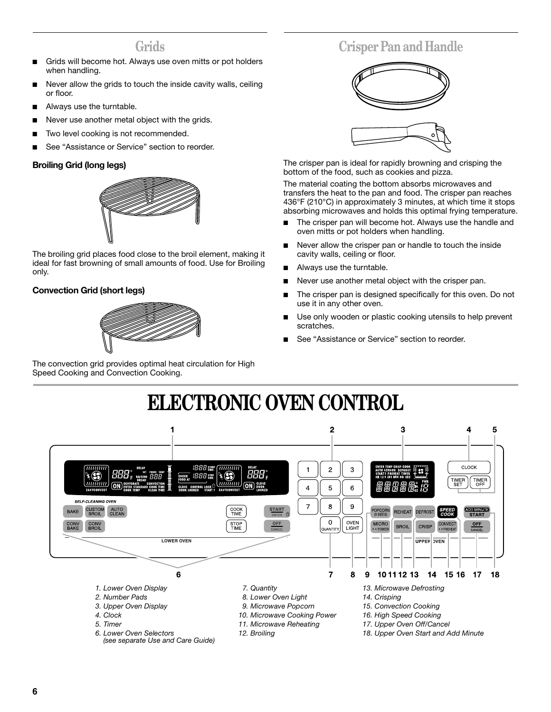# **Grids**

- Grids will become hot. Always use oven mitts or pot holders when handling.
- Never allow the grids to touch the inside cavity walls, ceiling or floor.
- Always use the turntable.
- Never use another metal object with the grids.
- Two level cooking is not recommended.
- See "Assistance or Service" section to reorder.

# **Broiling Grid (long legs)**



The broiling grid places food close to the broil element, making it ideal for fast browning of small amounts of food. Use for Broiling only.

# **Convection Grid (short legs)**



The convection grid provides optimal heat circulation for High Speed Cooking and Convection Cooking.

# **Crisper Pan and Handle**



The crisper pan is ideal for rapidly browning and crisping the bottom of the food, such as cookies and pizza.

The material coating the bottom absorbs microwaves and transfers the heat to the pan and food. The crisper pan reaches 436°F (210°C) in approximately 3 minutes, at which time it stops absorbing microwaves and holds this optimal frying temperature.

- The crisper pan will become hot. Always use the handle and oven mitts or pot holders when handling.
- Never allow the crisper pan or handle to touch the inside cavity walls, ceiling or floor.
- Always use the turntable.
- Never use another metal object with the crisper pan.
- The crisper pan is designed specifically for this oven. Do not use it in any other oven.
- Use only wooden or plastic cooking utensils to help prevent scratches.
- See "Assistance or Service" section to reorder.

# **ELECTRONIC OVEN CONTROL**

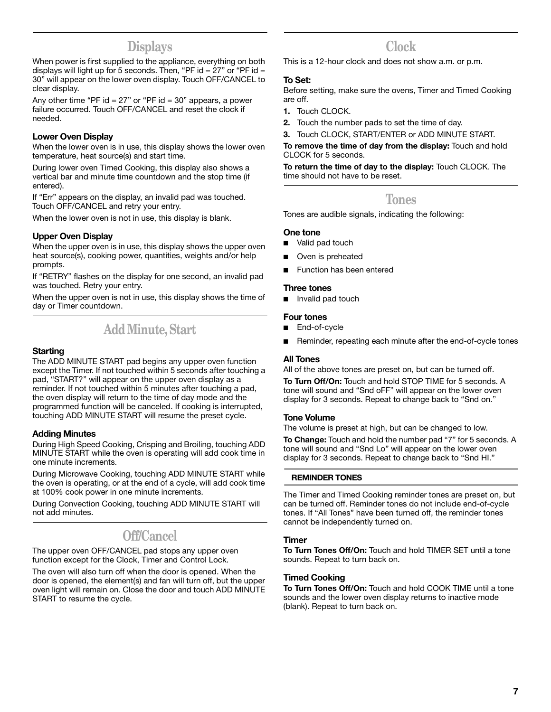# **Displays**

When power is first supplied to the appliance, everything on both displays will light up for 5 seconds. Then, "PF id =  $27$ " or "PF id = 30" will appear on the lower oven display. Touch OFF/CANCEL to clear display.

Any other time "PF id  $= 27$ " or "PF id  $= 30$ " appears, a power failure occurred. Touch OFF/CANCEL and reset the clock if needed.

# **Lower Oven Display**

When the lower oven is in use, this display shows the lower oven temperature, heat source(s) and start time.

During lower oven Timed Cooking, this display also shows a vertical bar and minute time countdown and the stop time (if entered).

If "Err" appears on the display, an invalid pad was touched. Touch OFF/CANCEL and retry your entry.

When the lower oven is not in use, this display is blank.

## **Upper Oven Display**

When the upper oven is in use, this display shows the upper oven heat source(s), cooking power, quantities, weights and/or help prompts.

If "RETRY" flashes on the display for one second, an invalid pad was touched. Retry your entry.

When the upper oven is not in use, this display shows the time of day or Timer countdown.

# **Add Minute, Start**

## **Starting**

The ADD MINUTE START pad begins any upper oven function except the Timer. If not touched within 5 seconds after touching a pad, "START?" will appear on the upper oven display as a reminder. If not touched within 5 minutes after touching a pad, the oven display will return to the time of day mode and the programmed function will be canceled. If cooking is interrupted, touching ADD MINUTE START will resume the preset cycle.

## **Adding Minutes**

During High Speed Cooking, Crisping and Broiling, touching ADD MINUTE START while the oven is operating will add cook time in one minute increments.

During Microwave Cooking, touching ADD MINUTE START while the oven is operating, or at the end of a cycle, will add cook time at 100% cook power in one minute increments.

During Convection Cooking, touching ADD MINUTE START will not add minutes.

# **Off/Cancel**

The upper oven OFF/CANCEL pad stops any upper oven function except for the Clock, Timer and Control Lock.

The oven will also turn off when the door is opened. When the door is opened, the element(s) and fan will turn off, but the upper oven light will remain on. Close the door and touch ADD MINUTE START to resume the cycle.

# **Clock**

This is a 12-hour clock and does not show a.m. or p.m.

# **To Set:**

Before setting, make sure the ovens, Timer and Timed Cooking are off.

- **1.** Touch CLOCK.
- **2.** Touch the number pads to set the time of day.
- **3.** Touch CLOCK, START/ENTER or ADD MINUTE START.

**To remove the time of day from the display:** Touch and hold CLOCK for 5 seconds.

**To return the time of day to the display:** Touch CLOCK. The time should not have to be reset.

# **Tones**

Tones are audible signals, indicating the following:

## **One tone**

- Valid pad touch
- Oven is preheated
- Function has been entered

### **Three tones**

■ Invalid pad touch

## **Four tones**

- End-of-cycle
- Reminder, repeating each minute after the end-of-cycle tones

## **All Tones**

All of the above tones are preset on, but can be turned off.

**To Turn Off/On:** Touch and hold STOP TIME for 5 seconds. A tone will sound and "Snd oFF" will appear on the lower oven display for 3 seconds. Repeat to change back to "Snd on."

## **Tone Volume**

The volume is preset at high, but can be changed to low. **To Change:** Touch and hold the number pad "7" for 5 seconds. A tone will sound and "Snd Lo" will appear on the lower oven display for 3 seconds. Repeat to change back to "Snd HI."

### **REMINDER TONES**

The Timer and Timed Cooking reminder tones are preset on, but can be turned off. Reminder tones do not include end-of-cycle tones. If "All Tones" have been turned off, the reminder tones cannot be independently turned on.

## **Timer**

**To Turn Tones Off/On:** Touch and hold TIMER SET until a tone sounds. Repeat to turn back on.

# **Timed Cooking**

**To Turn Tones Off/On:** Touch and hold COOK TIME until a tone sounds and the lower oven display returns to inactive mode (blank). Repeat to turn back on.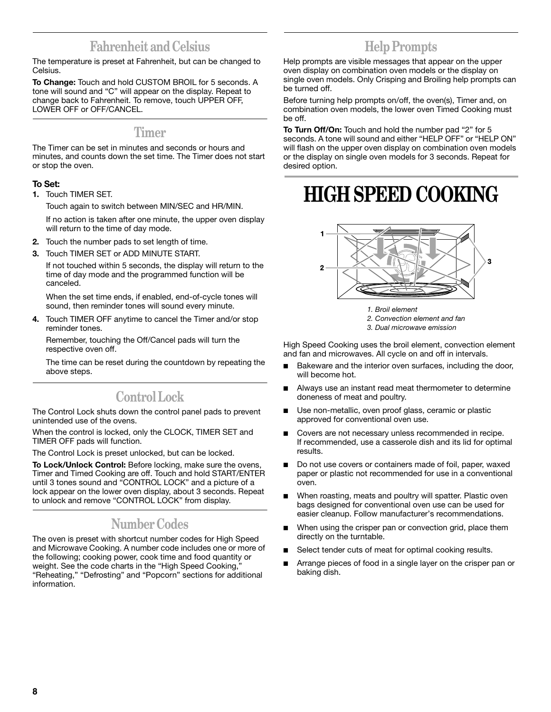# **Fahrenheit and Celsius**

The temperature is preset at Fahrenheit, but can be changed to Celsius.

**To Change:** Touch and hold CUSTOM BROIL for 5 seconds. A tone will sound and "C" will appear on the display. Repeat to change back to Fahrenheit. To remove, touch UPPER OFF, LOWER OFF or OFF/CANCEL.

# **Timer**

The Timer can be set in minutes and seconds or hours and minutes, and counts down the set time. The Timer does not start or stop the oven.

# **To Set:**

**1.** Touch TIMER SET.

Touch again to switch between MIN/SEC and HR/MIN.

If no action is taken after one minute, the upper oven display will return to the time of day mode.

- **2.** Touch the number pads to set length of time.
- **3.** Touch TIMER SET or ADD MINUTE START.

If not touched within 5 seconds, the display will return to the time of day mode and the programmed function will be canceled.

When the set time ends, if enabled, end-of-cycle tones will sound, then reminder tones will sound every minute.

**4.** Touch TIMER OFF anytime to cancel the Timer and/or stop reminder tones.

Remember, touching the Off/Cancel pads will turn the respective oven off.

The time can be reset during the countdown by repeating the above steps.

# **Control Lock**

The Control Lock shuts down the control panel pads to prevent unintended use of the ovens.

When the control is locked, only the CLOCK, TIMER SET and TIMER OFF pads will function.

The Control Lock is preset unlocked, but can be locked.

**To Lock/Unlock Control:** Before locking, make sure the ovens, Timer and Timed Cooking are off. Touch and hold START/ENTER until 3 tones sound and "CONTROL LOCK" and a picture of a lock appear on the lower oven display, about 3 seconds. Repeat to unlock and remove "CONTROL LOCK" from display.

# **Number Codes**

The oven is preset with shortcut number codes for High Speed and Microwave Cooking. A number code includes one or more of the following; cooking power, cook time and food quantity or weight. See the code charts in the "High Speed Cooking," "Reheating," "Defrosting" and "Popcorn" sections for additional information.

# **Help Prompts**

Help prompts are visible messages that appear on the upper oven display on combination oven models or the display on single oven models. Only Crisping and Broiling help prompts can be turned off.

Before turning help prompts on/off, the oven(s), Timer and, on combination oven models, the lower oven Timed Cooking must be off.

**To Turn Off/On:** Touch and hold the number pad "2" for 5 seconds. A tone will sound and either "HELP OFF" or "HELP ON" will flash on the upper oven display on combination oven models or the display on single oven models for 3 seconds. Repeat for desired option.

# **HIGH SPEED COOKING**



*1. Broil element*

- *2. Convection element and fan*
- *3. Dual microwave emission*

High Speed Cooking uses the broil element, convection element and fan and microwaves. All cycle on and off in intervals.

- Bakeware and the interior oven surfaces, including the door, will become hot.
- Always use an instant read meat thermometer to determine doneness of meat and poultry.
- Use non-metallic, oven proof glass, ceramic or plastic approved for conventional oven use.
- Covers are not necessary unless recommended in recipe. If recommended, use a casserole dish and its lid for optimal results.
- Do not use covers or containers made of foil, paper, waxed paper or plastic not recommended for use in a conventional oven.
- When roasting, meats and poultry will spatter. Plastic oven bags designed for conventional oven use can be used for easier cleanup. Follow manufacturer's recommendations.
- When using the crisper pan or convection grid, place them directly on the turntable.
- Select tender cuts of meat for optimal cooking results.
- Arrange pieces of food in a single layer on the crisper pan or baking dish.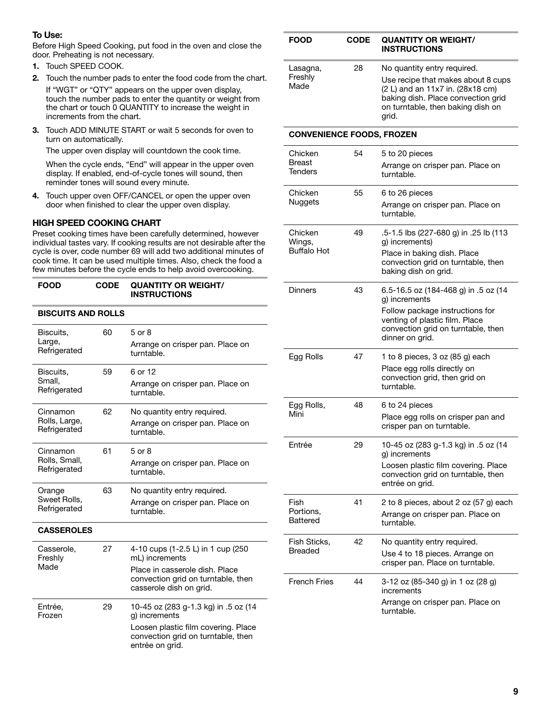# **To Use:**

Before High Speed Cooking, put food in the oven and close the door. Preheating is not necessary.

- **1.** Touch SPEED COOK.
- **2.** Touch the number pads to enter the food code from the chart. If "WGT" or "QTY" appears on the upper oven display,

touch the number pads to enter the quantity or weight from the chart or touch 0 QUANTITY to increase the weight in increments from the chart.

**3.** Touch ADD MINUTE START or wait 5 seconds for oven to turn on automatically.

The upper oven display will countdown the cook time.

When the cycle ends, "End" will appear in the upper oven display. If enabled, end-of-cycle tones will sound, then reminder tones will sound every minute.

**4.** Touch upper oven OFF/CANCEL or open the upper oven door when finished to clear the upper oven display.

# **HIGH SPEED COOKING CHART**

Preset cooking times have been carefully determined, however individual tastes vary. If cooking results are not desirable after the cycle is over, code number 69 will add two additional minutes of cook time. It can be used multiple times. Also, check the food a few minutes before the cycle ends to help avoid overcooking.

#### **FOOD CODE QUANTITY OR WEIGHT/ INSTRUCTIONS**

### **BISCUITS AND ROLLS**

| Biscuits,<br>Large,<br>Refrigerated       | 60 | $5$ or $8$<br>Arrange on crisper pan. Place on<br>turntable.                                                                                           |
|-------------------------------------------|----|--------------------------------------------------------------------------------------------------------------------------------------------------------|
| Biscuits,<br>Small,<br>Refrigerated       | 59 | 6 or 12<br>Arrange on crisper pan. Place on<br>turntable.                                                                                              |
| Cinnamon<br>Rolls, Large,<br>Refrigerated | 62 | No quantity entry required.<br>Arrange on crisper pan. Place on<br>turntable.                                                                          |
| Cinnamon<br>Rolls, Small,<br>Refrigerated | 61 | 5 or 8<br>Arrange on crisper pan. Place on<br>turntable.                                                                                               |
| Orange<br>Sweet Rolls,<br>Refrigerated    | 63 | No quantity entry required.<br>Arrange on crisper pan. Place on<br>turntable.                                                                          |
| <b>CASSEROLES</b>                         |    |                                                                                                                                                        |
| Casserole,<br>Freshly<br>Made             | 27 | 4-10 cups (1-2.5 L) in 1 cup (250<br>mL) increments<br>Place in casserole dish. Place<br>convection grid on turntable, then<br>casserole dish on grid. |
| Entrée,<br>Frozen                         | 29 | 10-45 oz (283 g-1.3 kg) in .5 oz (14<br>g) increments<br>Loosen plastic film covering. Place<br>convection grid on turntable, then<br>entrée on arid.  |

| FOOD                                 | CODE | <b>QUANTITY OR WEIGHT/</b><br><b>INSTRUCTIONS</b>                                                                                                                                         |
|--------------------------------------|------|-------------------------------------------------------------------------------------------------------------------------------------------------------------------------------------------|
| Lasagna,<br>Freshly<br>Made          | 28   | No quantity entry required.<br>Use recipe that makes about 8 cups<br>(2 L) and an 11x7 in. (28x18 cm)<br>baking dish. Place convection grid<br>on turntable, then baking dish on<br>grid. |
| <b>CONVENIENCE FOODS, FROZEN</b>     |      |                                                                                                                                                                                           |
| Chicken                              | 54   | 5 to 20 pieces                                                                                                                                                                            |
| <b>Breast</b><br>Tenders             |      | Arrange on crisper pan. Place on<br>turntable.                                                                                                                                            |
| Chicken                              | 55   | 6 to 26 pieces                                                                                                                                                                            |
| <b>Nuggets</b>                       |      | Arrange on crisper pan. Place on<br>turntable.                                                                                                                                            |
| Chicken<br>Wings,                    | 49   | .5-1.5 lbs (227-680 g) in .25 lb (113<br>g) increments)                                                                                                                                   |
| <b>Buffalo Hot</b>                   |      | Place in baking dish. Place<br>convection grid on turntable, then<br>baking dish on grid.                                                                                                 |
| Dinners                              | 43   | 6.5-16.5 oz (184-468 g) in .5 oz (14<br>g) increments                                                                                                                                     |
|                                      |      | Follow package instructions for<br>venting of plastic film. Place<br>convection grid on turntable, then<br>dinner on grid.                                                                |
| Egg Rolls                            | 47   | 1 to 8 pieces, 3 oz (85 g) each<br>Place egg rolls directly on<br>convection grid, then grid on<br>turntable.                                                                             |
| Egg Rolls,<br>Mini                   | 48   | 6 to 24 pieces<br>Place egg rolls on crisper pan and<br>crisper pan on turntable.                                                                                                         |
| Entrée                               | 29   | 10-45 oz (283 g-1.3 kg) in .5 oz (14<br>g) increments<br>Loosen plastic film covering. Place<br>convection grid on turntable, then<br>entrée on grid.                                     |
| Fish<br>Portions,<br><b>Battered</b> | 41   | 2 to 8 pieces, about 2 oz (57 g) each<br>Arrange on crisper pan. Place on<br>turntable.                                                                                                   |
| Fish Sticks,                         | 42   | No quantity entry required.                                                                                                                                                               |
| <b>Breaded</b>                       |      | Use 4 to 18 pieces. Arrange on<br>crisper pan. Place on turntable.                                                                                                                        |
| <b>French Fries</b>                  | 44   | 3-12 oz (85-340 g) in 1 oz (28 g)<br>increments                                                                                                                                           |
|                                      |      | Arrange on crisper pan. Place on<br>turntable.                                                                                                                                            |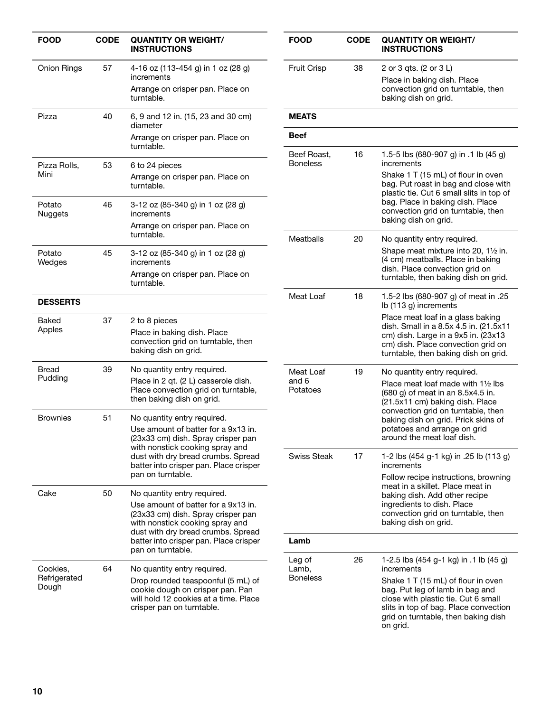| <b>FOOD</b>              | <b>CODE</b> | <b>QUANTITY OR WEIGHT/</b><br><b>INSTRUCTIONS</b>                                                                                            | <b>FOOD</b>                    | <b>CODE</b> | <b>QUANTITY OR WEIGHT/</b><br><b>INSTRUCTIONS</b>                                                                                                                                                        |
|--------------------------|-------------|----------------------------------------------------------------------------------------------------------------------------------------------|--------------------------------|-------------|----------------------------------------------------------------------------------------------------------------------------------------------------------------------------------------------------------|
| <b>Onion Rings</b>       | 57          | 4-16 oz (113-454 g) in 1 oz (28 g)<br>increments<br>Arrange on crisper pan. Place on<br>turntable.                                           | <b>Fruit Crisp</b>             | 38          | 2 or 3 qts. (2 or 3 L)<br>Place in baking dish. Place<br>convection grid on turntable, then<br>baking dish on grid.                                                                                      |
| Pizza                    | 40          | 6, 9 and 12 in. (15, 23 and 30 cm)<br>diameter                                                                                               | <b>MEATS</b>                   |             |                                                                                                                                                                                                          |
|                          |             | Arrange on crisper pan. Place on<br>turntable.                                                                                               | <b>Beef</b>                    |             |                                                                                                                                                                                                          |
| Pizza Rolls,<br>Mini     | 53          | 6 to 24 pieces<br>Arrange on crisper pan. Place on<br>turntable.                                                                             | Beef Roast,<br><b>Boneless</b> | 16          | 1.5-5 lbs (680-907 g) in .1 lb (45 g)<br>increments<br>Shake 1 T (15 mL) of flour in oven<br>bag. Put roast in bag and close with<br>plastic tie. Cut 6 small slits in top of                            |
| Potato<br><b>Nuggets</b> | 46          | 3-12 oz (85-340 g) in 1 oz (28 g)<br>increments<br>Arrange on crisper pan. Place on                                                          |                                |             | bag. Place in baking dish. Place<br>convection grid on turntable, then<br>baking dish on grid.                                                                                                           |
| Potato<br>Wedges         | 45          | turntable.<br>3-12 oz (85-340 g) in 1 oz (28 g)<br>increments<br>Arrange on crisper pan. Place on<br>turntable.                              | Meatballs                      | 20          | No quantity entry required.<br>Shape meat mixture into 20, 11/2 in.<br>(4 cm) meatballs. Place in baking<br>dish. Place convection grid on<br>turntable, then baking dish on grid.                       |
| <b>DESSERTS</b>          |             |                                                                                                                                              | Meat Loaf                      | 18          | 1.5-2 lbs (680-907 g) of meat in .25<br>Ib (113 g) increments                                                                                                                                            |
| Baked<br>Apples          | 37          | 2 to 8 pieces<br>Place in baking dish. Place<br>convection grid on turntable, then<br>baking dish on grid.                                   |                                |             | Place meat loaf in a glass baking<br>dish. Small in a 8.5x 4.5 in. (21.5x11<br>cm) dish. Large in a 9x5 in. (23x13<br>cm) dish. Place convection grid on<br>turntable, then baking dish on grid.         |
| <b>Bread</b><br>Pudding  | 39          | No quantity entry required.<br>Place in 2 qt. (2 L) casserole dish.<br>Place convection grid on turntable,<br>then baking dish on grid.      | Meat Loaf<br>and 6<br>Potatoes | 19          | No quantity entry required.<br>Place meat loaf made with 11/2 lbs<br>(680 g) of meat in an 8.5x4.5 in.<br>(21.5x11 cm) baking dish. Place                                                                |
| <b>Brownies</b>          | 51          | No quantity entry required.<br>Use amount of batter for a 9x13 in.<br>(23x33 cm) dish. Spray crisper pan<br>with nonstick cooking spray and  |                                |             | convection grid on turntable, then<br>baking dish on grid. Prick skins of<br>potatoes and arrange on grid<br>around the meat loaf dish.                                                                  |
|                          |             | dust with dry bread crumbs. Spread<br>batter into crisper pan. Place crisper<br>pan on turntable.                                            | Swiss Steak                    | 17          | 1-2 lbs (454 g-1 kg) in .25 lb (113 g)<br>increments<br>Follow recipe instructions, browning                                                                                                             |
| Cake                     | 50          | No quantity entry required.<br>Use amount of batter for a 9x13 in.<br>(23x33 cm) dish. Spray crisper pan<br>with nonstick cooking spray and  |                                |             | meat in a skillet. Place meat in<br>baking dish. Add other recipe<br>ingredients to dish. Place<br>convection grid on turntable, then<br>baking dish on grid.                                            |
|                          |             | dust with dry bread crumbs. Spread<br>batter into crisper pan. Place crisper<br>pan on turntable.                                            | Lamb                           |             |                                                                                                                                                                                                          |
| Cookies,                 | 64          | No quantity entry required.                                                                                                                  | Leg of<br>Lamb,                | 26          | 1-2.5 lbs (454 g-1 kg) in .1 lb (45 g)<br>increments                                                                                                                                                     |
| Refrigerated<br>Dough    |             | Drop rounded teaspoonful (5 mL) of<br>cookie dough on crisper pan. Pan<br>will hold 12 cookies at a time. Place<br>crisper pan on turntable. | <b>Boneless</b>                |             | Shake 1 T (15 mL) of flour in oven<br>bag. Put leg of lamb in bag and<br>close with plastic tie. Cut 6 small<br>slits in top of bag. Place convection<br>grid on turntable, then baking dish<br>on grid. |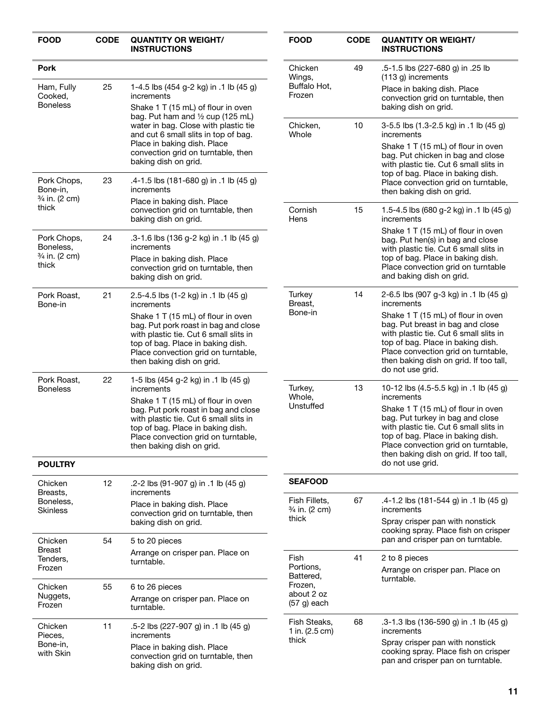| <b>FOOD</b>                                                     | <b>CODE</b> | <b>QUANTITY OR WEIGHT/</b><br><b>INSTRUCTIONS</b>                                                                                                                                                                                                                                                                      |
|-----------------------------------------------------------------|-------------|------------------------------------------------------------------------------------------------------------------------------------------------------------------------------------------------------------------------------------------------------------------------------------------------------------------------|
| Pork                                                            |             |                                                                                                                                                                                                                                                                                                                        |
| Ham, Fully<br>Cooked.<br><b>Boneless</b>                        | 25          | 1-4.5 lbs (454 g-2 kg) in .1 lb (45 g)<br>increments<br>Shake 1 T (15 mL) of flour in oven<br>bag. Put ham and $\frac{1}{2}$ cup (125 mL)<br>water in bag. Close with plastic tie<br>and cut 6 small slits in top of bag.<br>Place in baking dish. Place<br>convection grid on turntable, then<br>baking dish on grid. |
| Pork Chops,<br>Bone-in,<br>3/ <sub>4</sub> in. (2 cm)<br>thick  | 23          | .4-1.5 lbs (181-680 g) in .1 lb (45 g)<br>increments<br>Place in baking dish. Place<br>convection grid on turntable, then<br>baking dish on grid.                                                                                                                                                                      |
| Pork Chops,<br>Boneless,<br>3/ <sub>4</sub> in. (2 cm)<br>thick | 24          | .3-1.6 lbs (136 g-2 kg) in .1 lb (45 g)<br>increments<br>Place in baking dish. Place<br>convection grid on turntable, then<br>baking dish on grid.                                                                                                                                                                     |
| Pork Roast,<br>Bone-in                                          | 21          | 2.5-4.5 lbs (1-2 kg) in .1 lb (45 g)<br>increments<br>Shake 1 T (15 mL) of flour in oven<br>bag. Put pork roast in bag and close<br>with plastic tie. Cut 6 small slits in<br>top of bag. Place in baking dish.<br>Place convection grid on turntable,<br>then baking dish on grid.                                    |
| Pork Roast,<br>Boneless                                         | 22          | 1-5 lbs (454 g-2 kg) in .1 lb (45 g)<br>increments<br>Shake 1 T (15 mL) of flour in oven<br>bag. Put pork roast in bag and close<br>with plastic tie. Cut 6 small slits in<br>top of bag. Place in baking dish.<br>Place convection grid on turntable,<br>then baking dish on grid.                                    |
| <b>POULTRY</b>                                                  |             |                                                                                                                                                                                                                                                                                                                        |
| Chicken<br>Breasts,<br>Boneless,<br>Skinless                    | 12          | .2-2 lbs (91-907 g) in .1 lb (45 g)<br>increments<br>Place in baking dish. Place<br>convection grid on turntable, then<br>baking dish on grid.                                                                                                                                                                         |
| Chicken<br>Breast<br>Tenders,<br>Frozen                         | 54          | 5 to 20 pieces<br>Arrange on crisper pan. Place on<br>turntable.                                                                                                                                                                                                                                                       |
| Chicken<br>Nuggets,<br>Frozen                                   | 55          | 6 to 26 pieces<br>Arrange on crisper pan. Place on<br>turntable.                                                                                                                                                                                                                                                       |
| Chicken<br>Pieces,<br>Bone-in,<br>with Skin                     | 11          | .5-2 lbs (227-907 g) in .1 lb (45 g)<br>increments<br>Place in baking dish. Place<br>convection grid on turntable, then<br>baking dish on grid.                                                                                                                                                                        |

| <b>FOOD</b>                                                              | <b>CODE</b> | <b>QUANTITY OR WEIGHT/</b><br><b>INSTRUCTIONS</b>                                                                                                                                                                                                                                                                  |
|--------------------------------------------------------------------------|-------------|--------------------------------------------------------------------------------------------------------------------------------------------------------------------------------------------------------------------------------------------------------------------------------------------------------------------|
| Chicken<br>Wings,<br>Buffalo Hot,<br>Frozen                              | 49          | .5-1.5 lbs (227-680 g) in .25 lb<br>(113 g) increments<br>Place in baking dish. Place<br>convection grid on turntable, then<br>baking dish on grid.                                                                                                                                                                |
| Chicken,<br>Whole                                                        | 10          | 3-5.5 lbs (1.3-2.5 kg) in .1 lb (45 g)<br>increments<br>Shake 1 T (15 mL) of flour in oven<br>bag. Put chicken in bag and close                                                                                                                                                                                    |
|                                                                          |             | with plastic tie. Cut 6 small slits in<br>top of bag. Place in baking dish.<br>Place convection grid on turntable,<br>then baking dish on grid.                                                                                                                                                                    |
| Cornish<br>Hens                                                          | 15          | 1.5-4.5 lbs (680 g-2 kg) in .1 lb (45 g)<br>increments                                                                                                                                                                                                                                                             |
|                                                                          |             | Shake 1 T (15 mL) of flour in oven<br>bag. Put hen(s) in bag and close<br>with plastic tie. Cut 6 small slits in<br>top of bag. Place in baking dish.<br>Place convection grid on turntable<br>and baking dish on grid.                                                                                            |
| Turkey<br>Breast,<br>Bone-in                                             | 14          | 2-6.5 lbs (907 g-3 kg) in .1 lb (45 g)<br>increments                                                                                                                                                                                                                                                               |
|                                                                          |             | Shake 1 T (15 mL) of flour in oven<br>bag. Put breast in bag and close<br>with plastic tie. Cut 6 small slits in<br>top of bag. Place in baking dish.<br>Place convection grid on turntable,<br>then baking dish on grid. If too tall,<br>do not use grid.                                                         |
| Turkey,<br>Whole,<br>Unstuffed                                           | 13          | 10-12 lbs (4.5-5.5 kg) in .1 lb (45 g)<br>increments<br>Shake 1 T (15 mL) of flour in oven<br>bag. Put turkey in bag and close<br>with plastic tie. Cut 6 small slits in<br>top of bag. Place in baking dish.<br>Place convection grid on turntable,<br>then baking dish on grid. If too tall,<br>do not use grid. |
| <b>SEAFOOD</b>                                                           |             |                                                                                                                                                                                                                                                                                                                    |
| Fish Fillets,<br>3⁄4 in. (2 cm)                                          | 67          | .4-1.2 lbs (181-544 g) in .1 lb (45 g)<br>increments                                                                                                                                                                                                                                                               |
| thick                                                                    |             | Spray crisper pan with nonstick<br>cooking spray. Place fish on crisper<br>pan and crisper pan on turntable.                                                                                                                                                                                                       |
| Fish<br>Portions,<br>Battered,<br>Frozen,<br>about 2 oz<br>$(57 g)$ each | 41          | 2 to 8 pieces<br>Arrange on crisper pan. Place on<br>turntable.                                                                                                                                                                                                                                                    |
| Fish Steaks,<br>1 in. (2.5 cm)                                           | 68          | .3-1.3 lbs (136-590 g) in .1 lb (45 g)<br>increments                                                                                                                                                                                                                                                               |
| thick                                                                    |             | Spray crisper pan with nonstick<br>cooking spray. Place fish on crisper<br>pan and crisper pan on turntable.                                                                                                                                                                                                       |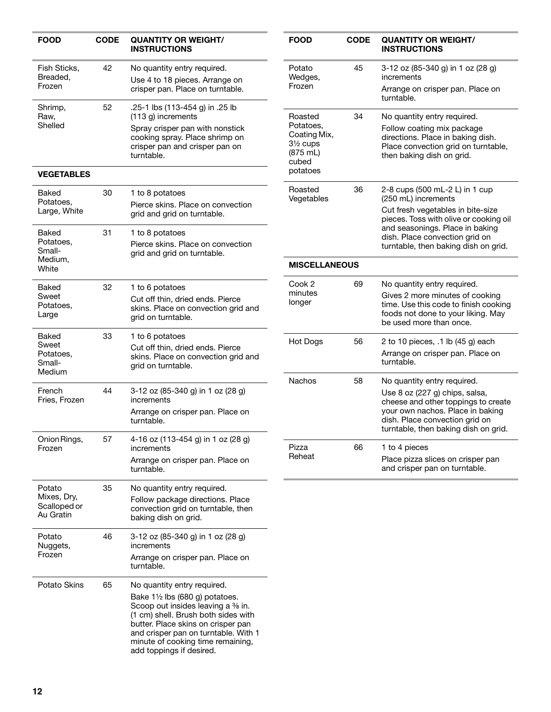| <b>FOOD</b>                                     | <b>CODE</b> | <b>QUANTITY OR WEIGHT/</b><br><b>INSTRUCTIONS</b>                                                                                                                                                                                                                                                                | <b>FOOD</b>                                                                                            | <b>CODE</b> | <b>QUANTITY OR WEIGHT/</b><br><b>INSTRUCTIONS</b>                                                                                                                  |
|-------------------------------------------------|-------------|------------------------------------------------------------------------------------------------------------------------------------------------------------------------------------------------------------------------------------------------------------------------------------------------------------------|--------------------------------------------------------------------------------------------------------|-------------|--------------------------------------------------------------------------------------------------------------------------------------------------------------------|
| Fish Sticks,<br>Breaded,                        | 42          | No quantity entry required.<br>Use 4 to 18 pieces. Arrange on                                                                                                                                                                                                                                                    | Potato<br>Wedges,                                                                                      | 45          | 3-12 oz (85-340 g) in 1 oz (28 g)<br>increments                                                                                                                    |
| Frozen                                          |             | crisper pan. Place on turntable.                                                                                                                                                                                                                                                                                 | Frozen                                                                                                 |             | Arrange on crisper pan. Place on<br>turntable.                                                                                                                     |
| Shrimp,<br>Raw,<br>Shelled                      | 52          | .25 lb (113-454 g) in .25 lb<br>(113 g) increments<br>Spray crisper pan with nonstick<br>cooking spray. Place shrimp on<br>crisper pan and crisper pan on<br>turntable.                                                                                                                                          | Roasted<br>Potatoes.<br>Coating Mix,<br>$3\frac{1}{2}$ cups<br>$(875 \text{ mL})$<br>cubed<br>potatoes | 34          | No quantity entry required.<br>Follow coating mix package<br>directions. Place in baking dish.<br>Place convection grid on turntable,<br>then baking dish on grid. |
| <b>VEGETABLES</b>                               |             |                                                                                                                                                                                                                                                                                                                  |                                                                                                        |             |                                                                                                                                                                    |
| Baked<br>Potatoes,<br>Large, White              | 30          | 1 to 8 potatoes<br>Pierce skins. Place on convection<br>grid and grid on turntable.                                                                                                                                                                                                                              | Roasted<br>Vegetables                                                                                  | 36          | 2-8 cups (500 mL-2 L) in 1 cup<br>(250 mL) increments<br>Cut fresh vegetables in bite-size<br>pieces. Toss with olive or cooking oil                               |
| Baked<br>Potatoes,<br>Small-                    | 31          | 1 to 8 potatoes<br>Pierce skins. Place on convection<br>grid and grid on turntable.                                                                                                                                                                                                                              |                                                                                                        |             | and seasonings. Place in baking<br>dish. Place convection grid on<br>turntable, then baking dish on grid.                                                          |
| Medium,<br>White                                |             |                                                                                                                                                                                                                                                                                                                  | <b>MISCELLANEOUS</b>                                                                                   |             |                                                                                                                                                                    |
| Baked                                           | 32          | 1 to 6 potatoes                                                                                                                                                                                                                                                                                                  | Cook 2<br>minutes                                                                                      | 69          | No quantity entry required.                                                                                                                                        |
| Sweet<br>Potatoes,<br>Large                     |             | Cut off thin, dried ends. Pierce<br>skins. Place on convection grid and<br>grid on turntable.                                                                                                                                                                                                                    | longer                                                                                                 |             | Gives 2 more minutes of cooking<br>time. Use this code to finish cooking<br>foods not done to your liking. May<br>be used more than once.                          |
| Baked<br>Sweet<br>Potatoes,<br>Small-<br>Medium | 33          | 1 to 6 potatoes<br>Cut off thin, dried ends. Pierce<br>skins. Place on convection grid and<br>grid on turntable.                                                                                                                                                                                                 | <b>Hot Dogs</b>                                                                                        | 56          | 2 to 10 pieces, .1 lb (45 g) each<br>Arrange on crisper pan. Place on<br>turntable.                                                                                |
| French<br>Fries, Frozen                         | 44          | 3-12 oz (85-340 g) in 1 oz (28 g)<br>increments                                                                                                                                                                                                                                                                  | Nachos                                                                                                 | 58          | No quantity entry required.<br>Use 8 oz (227 g) chips, salsa,<br>cheese and other toppings to create                                                               |
|                                                 |             | Arrange on crisper pan. Place on<br>turntable.                                                                                                                                                                                                                                                                   |                                                                                                        |             | your own nachos. Place in baking<br>dish. Place convection grid on<br>turntable, then baking dish on grid.                                                         |
| Onion Rings,<br>Frozen                          | 57          | 4-16 oz (113-454 g) in 1 oz (28 g)<br>increments                                                                                                                                                                                                                                                                 | Pizza                                                                                                  | 66          | 1 to 4 pieces                                                                                                                                                      |
|                                                 |             | Arrange on crisper pan. Place on<br>turntable.                                                                                                                                                                                                                                                                   | Reheat                                                                                                 |             | Place pizza slices on crisper pan<br>and crisper pan on turntable.                                                                                                 |
| Potato                                          | 35          | No quantity entry required.                                                                                                                                                                                                                                                                                      |                                                                                                        |             |                                                                                                                                                                    |
| Mixes, Dry,<br>Scalloped or<br>Au Gratin        |             | Follow package directions. Place<br>convection grid on turntable, then<br>baking dish on grid.                                                                                                                                                                                                                   |                                                                                                        |             |                                                                                                                                                                    |
| Potato<br>Nuggets,<br>Frozen                    | 46          | 3-12 oz (85-340 g) in 1 oz (28 g)<br>increments<br>Arrange on crisper pan. Place on<br>turntable.                                                                                                                                                                                                                |                                                                                                        |             |                                                                                                                                                                    |
| Potato Skins                                    | 65          | No quantity entry required.<br>Bake $1\frac{1}{2}$ lbs (680 g) potatoes.<br>Scoop out insides leaving a <sup>3</sup> % in.<br>(1 cm) shell. Brush both sides with<br>butter. Place skins on crisper pan<br>and crisper pan on turntable. With 1<br>minute of cooking time remaining,<br>add toppings if desired. |                                                                                                        |             |                                                                                                                                                                    |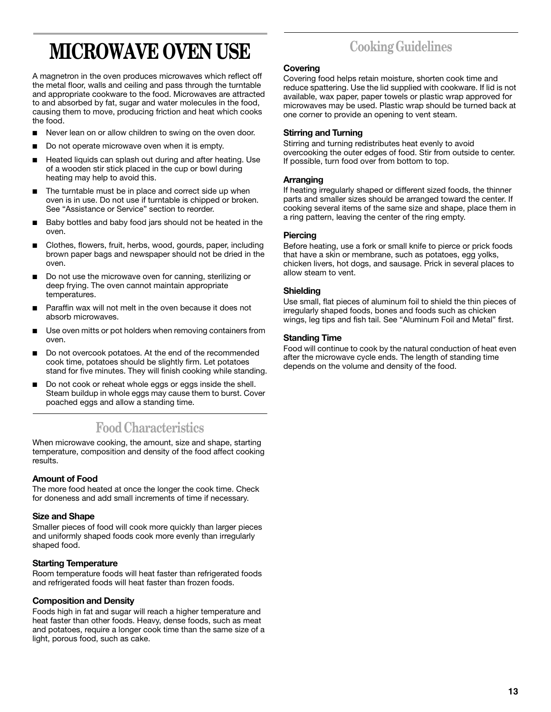# **MICROWAVE OVEN USE**

A magnetron in the oven produces microwaves which reflect off the metal floor, walls and ceiling and pass through the turntable and appropriate cookware to the food. Microwaves are attracted to and absorbed by fat, sugar and water molecules in the food, causing them to move, producing friction and heat which cooks the food.

- Never lean on or allow children to swing on the oven door.
- Do not operate microwave oven when it is empty.
- Heated liquids can splash out during and after heating. Use of a wooden stir stick placed in the cup or bowl during heating may help to avoid this.
- The turntable must be in place and correct side up when oven is in use. Do not use if turntable is chipped or broken. See "Assistance or Service" section to reorder.
- Baby bottles and baby food jars should not be heated in the oven.
- Clothes, flowers, fruit, herbs, wood, gourds, paper, including brown paper bags and newspaper should not be dried in the oven.
- Do not use the microwave oven for canning, sterilizing or deep frying. The oven cannot maintain appropriate temperatures.
- Paraffin wax will not melt in the oven because it does not absorb microwaves.
- Use oven mitts or pot holders when removing containers from oven.
- Do not overcook potatoes. At the end of the recommended cook time, potatoes should be slightly firm. Let potatoes stand for five minutes. They will finish cooking while standing.
- Do not cook or reheat whole eggs or eggs inside the shell. Steam buildup in whole eggs may cause them to burst. Cover poached eggs and allow a standing time.

# **Food Characteristics**

When microwave cooking, the amount, size and shape, starting temperature, composition and density of the food affect cooking results.

## **Amount of Food**

The more food heated at once the longer the cook time. Check for doneness and add small increments of time if necessary.

## **Size and Shape**

Smaller pieces of food will cook more quickly than larger pieces and uniformly shaped foods cook more evenly than irregularly shaped food.

## **Starting Temperature**

Room temperature foods will heat faster than refrigerated foods and refrigerated foods will heat faster than frozen foods.

## **Composition and Density**

Foods high in fat and sugar will reach a higher temperature and heat faster than other foods. Heavy, dense foods, such as meat and potatoes, require a longer cook time than the same size of a light, porous food, such as cake.

# **Cooking Guidelines**

# **Covering**

Covering food helps retain moisture, shorten cook time and reduce spattering. Use the lid supplied with cookware. If lid is not available, wax paper, paper towels or plastic wrap approved for microwaves may be used. Plastic wrap should be turned back at one corner to provide an opening to vent steam.

## **Stirring and Turning**

Stirring and turning redistributes heat evenly to avoid overcooking the outer edges of food. Stir from outside to center. If possible, turn food over from bottom to top.

## **Arranging**

If heating irregularly shaped or different sized foods, the thinner parts and smaller sizes should be arranged toward the center. If cooking several items of the same size and shape, place them in a ring pattern, leaving the center of the ring empty.

## **Piercing**

Before heating, use a fork or small knife to pierce or prick foods that have a skin or membrane, such as potatoes, egg yolks, chicken livers, hot dogs, and sausage. Prick in several places to allow steam to vent.

## **Shielding**

Use small, flat pieces of aluminum foil to shield the thin pieces of irregularly shaped foods, bones and foods such as chicken wings, leg tips and fish tail. See "Aluminum Foil and Metal" first.

## **Standing Time**

Food will continue to cook by the natural conduction of heat even after the microwave cycle ends. The length of standing time depends on the volume and density of the food.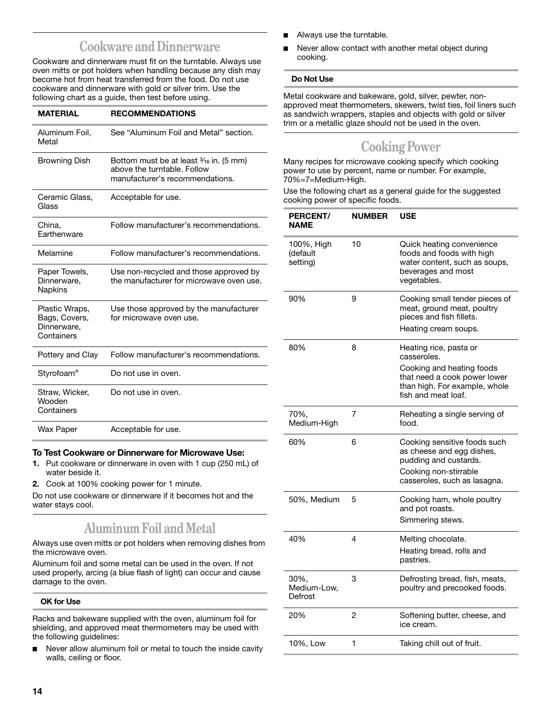# **Cookware and Dinnerware**

Cookware and dinnerware must fit on the turntable. Always use oven mitts or pot holders when handling because any dish may become hot from heat transferred from the food. Do not use cookware and dinnerware with gold or silver trim. Use the following chart as a guide, then test before using.

| <b>MATERIAL</b>                                              | <b>RECOMMENDATIONS</b>                                                                                              |
|--------------------------------------------------------------|---------------------------------------------------------------------------------------------------------------------|
| Aluminum Foil,<br>Metal                                      | See "Aluminum Foil and Metal" section.                                                                              |
| <b>Browning Dish</b>                                         | Bottom must be at least $\frac{3}{16}$ in. (5 mm)<br>above the turntable. Follow<br>manufacturer's recommendations. |
| Ceramic Glass,<br>Glass                                      | Acceptable for use.                                                                                                 |
| China,<br>Earthenware                                        | Follow manufacturer's recommendations.                                                                              |
| Melamine                                                     | Follow manufacturer's recommendations.                                                                              |
| Paper Towels,<br>Dinnerware.<br>Napkins                      | Use non-recycled and those approved by<br>the manufacturer for microwave oven use.                                  |
| Plastic Wraps,<br>Bags, Covers,<br>Dinnerware.<br>Containers | Use those approved by the manufacturer<br>for microwave oven use.                                                   |
| Pottery and Clay                                             | Follow manufacturer's recommendations.                                                                              |
| Styrofoam <sup>®</sup>                                       | Do not use in oven.                                                                                                 |
| Straw, Wicker,<br>Wooden<br>Containers                       | Do not use in oven.                                                                                                 |
| Wax Paper                                                    | Acceptable for use.                                                                                                 |

## **To Test Cookware or Dinnerware for Microwave Use:**

- **1.** Put cookware or dinnerware in oven with 1 cup (250 mL) of water beside it.
- **2.** Cook at 100% cooking power for 1 minute.

Do not use cookware or dinnerware if it becomes hot and the water stays cool.

# **Aluminum Foil and Metal**

Always use oven mitts or pot holders when removing dishes from the microwave oven.

Aluminum foil and some metal can be used in the oven. If not used properly, arcing (a blue flash of light) can occur and cause damage to the oven.

### **OK for Use**

Racks and bakeware supplied with the oven, aluminum foil for shielding, and approved meat thermometers may be used with the following guidelines:

Never allow aluminum foil or metal to touch the inside cavity walls, ceiling or floor.

- Always use the turntable.
- Never allow contact with another metal object during cooking.

### **Do Not Use**

Metal cookware and bakeware, gold, silver, pewter, nonapproved meat thermometers, skewers, twist ties, foil liners such as sandwich wrappers, staples and objects with gold or silver trim or a metallic glaze should not be used in the oven.

# **Cooking Power**

Many recipes for microwave cooking specify which cooking power to use by percent, name or number. For example, 70%=7=Medium-High.

Use the following chart as a general guide for the suggested cooking power of specific foods.

| PERCENT/<br><b>NAME</b>            | <b>NUMBER</b> | <b>USE</b>                                                                                                                                                 |
|------------------------------------|---------------|------------------------------------------------------------------------------------------------------------------------------------------------------------|
| 100%, High<br>(default<br>setting) | 10            | Quick heating convenience<br>foods and foods with high<br>water content, such as soups,<br>beverages and most<br>vegetables.                               |
| 90%                                | 9             | Cooking small tender pieces of<br>meat, ground meat, poultry<br>pieces and fish fillets.<br>Heating cream soups.                                           |
| 80%                                | 8             | Heating rice, pasta or<br>casseroles.<br>Cooking and heating foods<br>that need a cook power lower<br>than high. For example, whole<br>fish and meat loaf. |
| 70%,<br>Medium-High                | 7             | Reheating a single serving of<br>food.                                                                                                                     |
| 60%                                | 6             | Cooking sensitive foods such<br>as cheese and egg dishes,<br>pudding and custards.<br>Cooking non-stirrable<br>casseroles, such as lasagna.                |
| 50%, Medium                        | 5             | Cooking ham, whole poultry<br>and pot roasts.<br>Simmering stews.                                                                                          |
| 40%                                | 4             | Melting chocolate.<br>Heating bread, rolls and<br>pastries.                                                                                                |
| 30%,<br>Medium-Low,<br>Defrost     | 3             | Defrosting bread, fish, meats,<br>poultry and precooked foods.                                                                                             |
| 20%                                | 2             | Softening butter, cheese, and<br>ice cream.                                                                                                                |
| 10%, Low                           | 1             | Taking chill out of fruit.                                                                                                                                 |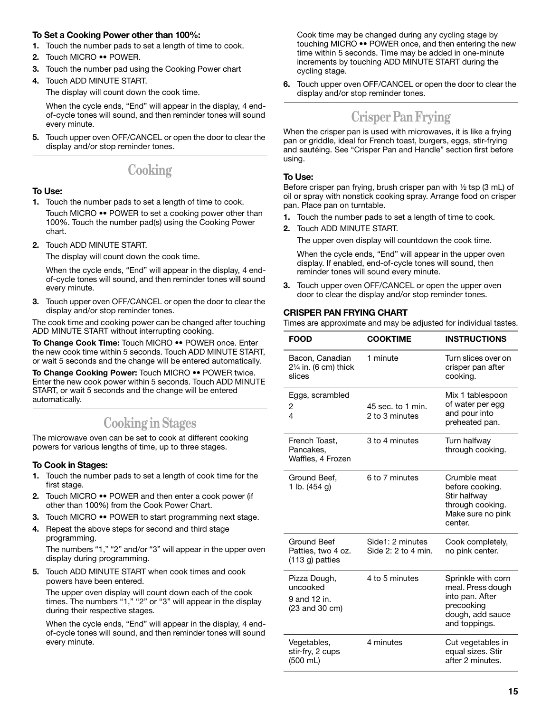## **To Set a Cooking Power other than 100%:**

- **1.** Touch the number pads to set a length of time to cook.
- **2.** Touch MICRO •• POWER.
- **3.** Touch the number pad using the Cooking Power chart
- **4.** Touch ADD MINUTE START.

The display will count down the cook time.

When the cycle ends, "End" will appear in the display, 4 endof-cycle tones will sound, and then reminder tones will sound every minute.

**5.** Touch upper oven OFF/CANCEL or open the door to clear the display and/or stop reminder tones.

# **Cooking**

## **To Use:**

- **1.** Touch the number pads to set a length of time to cook. Touch MICRO •• POWER to set a cooking power other than 100%. Touch the number pad(s) using the Cooking Power chart.
- **2.** Touch ADD MINUTE START.

The display will count down the cook time.

When the cycle ends, "End" will appear in the display, 4 endof-cycle tones will sound, and then reminder tones will sound every minute.

**3.** Touch upper oven OFF/CANCEL or open the door to clear the display and/or stop reminder tones.

The cook time and cooking power can be changed after touching ADD MINUTE START without interrupting cooking.

**To Change Cook Time:** Touch MICRO •• POWER once. Enter the new cook time within 5 seconds. Touch ADD MINUTE START, or wait 5 seconds and the change will be entered automatically.

**To Change Cooking Power:** Touch MICRO •• POWER twice. Enter the new cook power within 5 seconds. Touch ADD MINUTE START, or wait 5 seconds and the change will be entered automatically.

# **Cooking in Stages**

The microwave oven can be set to cook at different cooking powers for various lengths of time, up to three stages.

## **To Cook in Stages:**

- **1.** Touch the number pads to set a length of cook time for the first stage.
- **2.** Touch MICRO •• POWER and then enter a cook power (if other than 100%) from the Cook Power Chart.
- **3.** Touch MICRO •• POWER to start programming next stage.
- **4.** Repeat the above steps for second and third stage programming. The numbers "1," "2" and/or "3" will appear in the upper oven

display during programming.

**5.** Touch ADD MINUTE START when cook times and cook powers have been entered.

The upper oven display will count down each of the cook times. The numbers "1," "2" or "3" will appear in the display during their respective stages.

When the cycle ends, "End" will appear in the display, 4 endof-cycle tones will sound, and then reminder tones will sound every minute.

Cook time may be changed during any cycling stage by touching MICRO •• POWER once, and then entering the new time within 5 seconds. Time may be added in one-minute increments by touching ADD MINUTE START during the cycling stage.

**6.** Touch upper oven OFF/CANCEL or open the door to clear the display and/or stop reminder tones.

# **Crisper Pan Frying**

When the crisper pan is used with microwaves, it is like a frying pan or griddle, ideal for French toast, burgers, eggs, stir-frying and sautéing. See "Crisper Pan and Handle" section first before using.

## **To Use:**

Before crisper pan frying, brush crisper pan with  $\frac{1}{2}$  tsp (3 mL) of oil or spray with nonstick cooking spray. Arrange food on crisper pan. Place pan on turntable.

- **1.** Touch the number pads to set a length of time to cook.
- **2.** Touch ADD MINUTE START.

The upper oven display will countdown the cook time.

When the cycle ends, "End" will appear in the upper oven display. If enabled, end-of-cycle tones will sound, then reminder tones will sound every minute.

**3.** Touch upper oven OFF/CANCEL or open the upper oven door to clear the display and/or stop reminder tones.

# **CRISPER PAN FRYING CHART**

Times are approximate and may be adjusted for individual tastes.

| <b>FOOD</b>                                                | <b>COOKTIME</b>                         | <b>INSTRUCTIONS</b>                                                                                           |
|------------------------------------------------------------|-----------------------------------------|---------------------------------------------------------------------------------------------------------------|
| Bacon, Canadian<br>21/4 in. (6 cm) thick<br>slices         | 1 minute                                | Turn slices over on<br>crisper pan after<br>cooking.                                                          |
| Eggs, scrambled<br>2<br>4                                  | 45 sec. to 1 min.<br>2 to 3 minutes     | Mix 1 tablespoon<br>of water per egg<br>and pour into<br>preheated pan.                                       |
| French Toast,<br>Pancakes,<br>Waffles, 4 Frozen            | 3 to 4 minutes                          | Turn halfway<br>through cooking.                                                                              |
| Ground Beef,<br>1 lb. (454 g)                              | 6 to 7 minutes                          | Crumble meat<br>before cooking.<br>Stir halfway<br>through cooking.<br>Make sure no pink<br>center.           |
| Ground Beef<br>Patties, two 4 oz.<br>$(113 g)$ patties     | Side1: 2 minutes<br>Side 2: 2 to 4 min. | Cook completely,<br>no pink center.                                                                           |
| Pizza Dough,<br>uncooked<br>9 and 12 in.<br>(23 and 30 cm) | 4 to 5 minutes                          | Sprinkle with corn<br>meal. Press dough<br>into pan. After<br>precooking<br>dough, add sauce<br>and toppings. |
| Vegetables,<br>stir-fry, 2 cups<br>(500 mL)                | 4 minutes                               | Cut vegetables in<br>equal sizes. Stir<br>after 2 minutes.                                                    |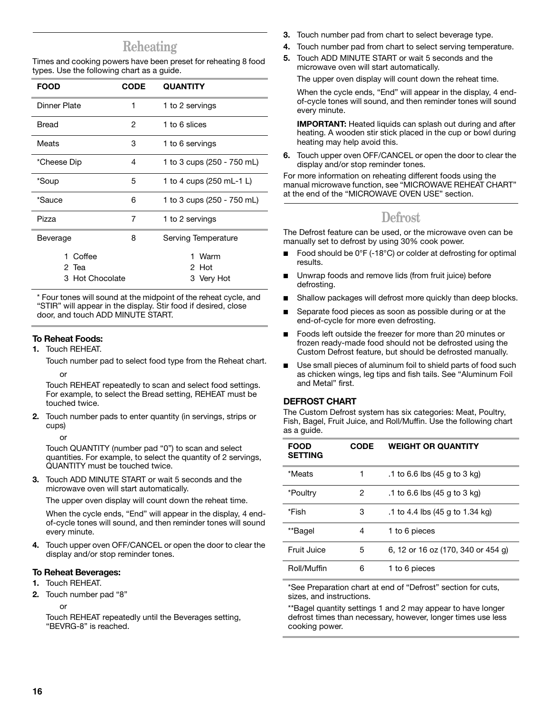# **Reheating**

Times and cooking powers have been preset for reheating 8 food types. Use the following chart as a guide.

| <b>FOOD</b>                        | <b>CODE</b> | <b>QUANTITY</b>                  |
|------------------------------------|-------------|----------------------------------|
| Dinner Plate                       | 1           | 1 to 2 servings                  |
| Bread                              | 2           | 1 to 6 slices                    |
| Meats                              | 3           | 1 to 6 servings                  |
| *Cheese Dip                        | 4           | 1 to 3 cups (250 - 750 mL)       |
| *Soup                              | 5           | 1 to 4 cups (250 mL-1 L)         |
| *Sauce                             | 6           | 1 to 3 cups (250 - 750 mL)       |
| Pizza                              | 7           | 1 to 2 servings                  |
| Beverage                           | 8           | Serving Temperature              |
| Coffee<br>2 Tea<br>3 Hot Chocolate |             | Warm<br>1<br>2 Hot<br>3 Very Hot |

\* Four tones will sound at the midpoint of the reheat cycle, and "STIR" will appear in the display. Stir food if desired, close door, and touch ADD MINUTE START.

# **To Reheat Foods:**

**1.** Touch REHEAT.

Touch number pad to select food type from the Reheat chart.

## or

Touch REHEAT repeatedly to scan and select food settings. For example, to select the Bread setting, REHEAT must be touched twice.

**2.** Touch number pads to enter quantity (in servings, strips or cups)

or

Touch QUANTITY (number pad "0") to scan and select quantities. For example, to select the quantity of 2 servings, QUANTITY must be touched twice.

**3.** Touch ADD MINUTE START or wait 5 seconds and the microwave oven will start automatically.

The upper oven display will count down the reheat time.

When the cycle ends, "End" will appear in the display, 4 endof-cycle tones will sound, and then reminder tones will sound every minute.

**4.** Touch upper oven OFF/CANCEL or open the door to clear the display and/or stop reminder tones.

## **To Reheat Beverages:**

- **1.** Touch REHEAT.
- **2.** Touch number pad "8"
	- or

Touch REHEAT repeatedly until the Beverages setting, "BEVRG-8" is reached.

- **3.** Touch number pad from chart to select beverage type.
- **4.** Touch number pad from chart to select serving temperature.
- **5.** Touch ADD MINUTE START or wait 5 seconds and the microwave oven will start automatically.

The upper oven display will count down the reheat time.

When the cycle ends, "End" will appear in the display, 4 endof-cycle tones will sound, and then reminder tones will sound every minute.

**IMPORTANT:** Heated liquids can splash out during and after heating. A wooden stir stick placed in the cup or bowl during heating may help avoid this.

**6.** Touch upper oven OFF/CANCEL or open the door to clear the display and/or stop reminder tones.

For more information on reheating different foods using the manual microwave function, see "MICROWAVE REHEAT CHART" at the end of the "MICROWAVE OVEN USE" section.

# **Defrost**

The Defrost feature can be used, or the microwave oven can be manually set to defrost by using 30% cook power.

- Food should be 0°F (-18°C) or colder at defrosting for optimal results.
- Unwrap foods and remove lids (from fruit juice) before defrosting.
- Shallow packages will defrost more quickly than deep blocks.
- Separate food pieces as soon as possible during or at the end-of-cycle for more even defrosting.
- Foods left outside the freezer for more than 20 minutes or frozen ready-made food should not be defrosted using the Custom Defrost feature, but should be defrosted manually.
- Use small pieces of aluminum foil to shield parts of food such as chicken wings, leg tips and fish tails. See "Aluminum Foil and Metal" first.

# **DEFROST CHART**

The Custom Defrost system has six categories: Meat, Poultry, Fish, Bagel, Fruit Juice, and Roll/Muffin. Use the following chart as a guide.

| <b>FOOD</b><br><b>SETTING</b> | <b>CODE</b> | <b>WEIGHT OR QUANTITY</b>                       |
|-------------------------------|-------------|-------------------------------------------------|
| *Meats                        | 1           | .1 to 6.6 lbs $(45 \text{ q to } 3 \text{ kg})$ |
| *Poultry                      | 2           | .1 to 6.6 lbs (45 g to 3 kg)                    |
| *Fish                         | 3           | .1 to 4.4 lbs (45 g to 1.34 kg)                 |
| **Bagel                       | 4           | 1 to 6 pieces                                   |
| Fruit Juice                   | 5           | 6, 12 or 16 oz (170, 340 or 454 g)              |
| Roll/Muffin                   | 6           | 1 to 6 pieces                                   |

\*See Preparation chart at end of "Defrost" section for cuts, sizes, and instructions.

\*\*Bagel quantity settings 1 and 2 may appear to have longer defrost times than necessary, however, longer times use less cooking power.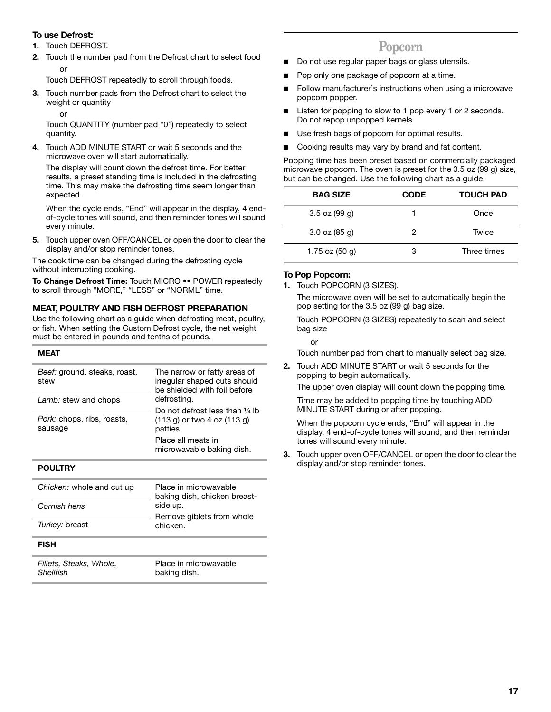# **To use Defrost:**

- **1.** Touch DEFROST.
- **2.** Touch the number pad from the Defrost chart to select food or

Touch DEFROST repeatedly to scroll through foods.

- **3.** Touch number pads from the Defrost chart to select the weight or quantity
	- or

Touch QUANTITY (number pad "0") repeatedly to select quantity.

**4.** Touch ADD MINUTE START or wait 5 seconds and the microwave oven will start automatically.

The display will count down the defrost time. For better results, a preset standing time is included in the defrosting time. This may make the defrosting time seem longer than expected.

When the cycle ends, "End" will appear in the display, 4 endof-cycle tones will sound, and then reminder tones will sound every minute.

**5.** Touch upper oven OFF/CANCEL or open the door to clear the display and/or stop reminder tones.

The cook time can be changed during the defrosting cycle without interrupting cooking.

**To Change Defrost Time:** Touch MICRO •• POWER repeatedly to scroll through "MORE," "LESS" or "NORML" time.

# **MEAT, POULTRY AND FISH DEFROST PREPARATION**

Use the following chart as a guide when defrosting meat, poultry, or fish. When setting the Custom Defrost cycle, the net weight must be entered in pounds and tenths of pounds.

#### **MEAT**

| Beef: ground, steaks, roast,<br>stew  | The narrow or fatty areas of<br>irregular shaped cuts should<br>be shielded with foil before |  |
|---------------------------------------|----------------------------------------------------------------------------------------------|--|
| Lamb: stew and chops                  | defrosting.                                                                                  |  |
| Pork: chops, ribs, roasts,<br>sausage | Do not defrost less than $\frac{1}{4}$ lb<br>(113 g) or two 4 oz (113 g)<br>patties.         |  |
|                                       | Place all meats in<br>microwavable baking dish.                                              |  |

### **POULTRY**

| Chicken: whole and cut up | Place in microwavable<br>baking dish, chicken breast- |
|---------------------------|-------------------------------------------------------|
| Cornish hens              | side up.                                              |
| Turkey: breast            | Remove giblets from whole<br>chicken.                 |
| <b>FISH</b>               |                                                       |
| Fillets, Steaks, Whole,   | Place in microwavable                                 |

*Shellfish*

Place in microwavable baking dish.

# **Popcorn**

- Do not use regular paper bags or glass utensils.
- Pop only one package of popcorn at a time.
- Follow manufacturer's instructions when using a microwave popcorn popper.
- Listen for popping to slow to 1 pop every 1 or 2 seconds. Do not repop unpopped kernels.
- Use fresh bags of popcorn for optimal results.
- Cooking results may vary by brand and fat content.

Popping time has been preset based on commercially packaged microwave popcorn. The oven is preset for the 3.5 oz (99 g) size, but can be changed. Use the following chart as a guide.

| <b>BAG SIZE</b>   | <b>CODE</b> | <b>TOUCH PAD</b> |
|-------------------|-------------|------------------|
| $3.5$ oz (99 g)   |             | Once             |
| $3.0$ oz $(85$ g) | 2           | Twice            |
| 1.75 oz $(50 g)$  |             | Three times      |

## **To Pop Popcorn:**

i.

**1.** Touch POPCORN (3 SIZES).

The microwave oven will be set to automatically begin the pop setting for the 3.5 oz (99 g) bag size.

Touch POPCORN (3 SIZES) repeatedly to scan and select bag size

or

Touch number pad from chart to manually select bag size.

**2.** Touch ADD MINUTE START or wait 5 seconds for the popping to begin automatically.

The upper oven display will count down the popping time.

Time may be added to popping time by touching ADD MINUTE START during or after popping.

When the popcorn cycle ends, "End" will appear in the display, 4 end-of-cycle tones will sound, and then reminder tones will sound every minute.

**3.** Touch upper oven OFF/CANCEL or open the door to clear the display and/or stop reminder tones.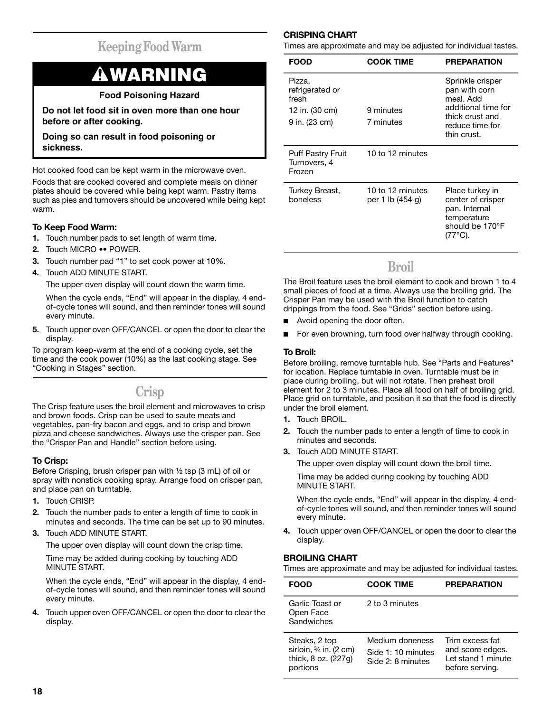# **Keeping Food Warm**

# **WARNING**

# **Food Poisoning Hazard**

**Do not let food sit in oven more than one hour before or after cooking.**

**Doing so can result in food poisoning or sickness.**

Hot cooked food can be kept warm in the microwave oven.

Foods that are cooked covered and complete meals on dinner plates should be covered while being kept warm. Pastry items such as pies and turnovers should be uncovered while being kept warm.

# **To Keep Food Warm:**

- **1.** Touch number pads to set length of warm time.
- **2.** Touch MICRO •• POWER.
- **3.** Touch number pad "1" to set cook power at 10%.
- **4.** Touch ADD MINUTE START.

The upper oven display will count down the warm time.

When the cycle ends, "End" will appear in the display, 4 endof-cycle tones will sound, and then reminder tones will sound every minute.

**5.** Touch upper oven OFF/CANCEL or open the door to clear the display.

To program keep-warm at the end of a cooking cycle, set the time and the cook power (10%) as the last cooking stage. See "Cooking in Stages" section.

# **Crisp**

The Crisp feature uses the broil element and microwaves to crisp and brown foods. Crisp can be used to saute meats and vegetables, pan-fry bacon and eggs, and to crisp and brown pizza and cheese sandwiches. Always use the crisper pan. See the "Crisper Pan and Handle" section before using.

## **To Crisp:**

Before Crisping, brush crisper pan with  $\frac{1}{2}$  tsp (3 mL) of oil or spray with nonstick cooking spray. Arrange food on crisper pan, and place pan on turntable.

- **1.** Touch CRISP.
- **2.** Touch the number pads to enter a length of time to cook in minutes and seconds. The time can be set up to 90 minutes.
- **3.** Touch ADD MINUTE START.

The upper oven display will count down the crisp time.

Time may be added during cooking by touching ADD MINUTE START.

When the cycle ends, "End" will appear in the display, 4 endof-cycle tones will sound, and then reminder tones will sound every minute.

**4.** Touch upper oven OFF/CANCEL or open the door to clear the display.

# **CRISPING CHART**

Times are approximate and may be adjusted for individual tastes.

| <b>FOOD</b>                                                           | <b>COOK TIME</b>                     | <b>PREPARATION</b>                                                                                                         |
|-----------------------------------------------------------------------|--------------------------------------|----------------------------------------------------------------------------------------------------------------------------|
| Pizza,<br>refrigerated or<br>fresh<br>12 in. (30 cm)<br>9 in. (23 cm) | 9 minutes<br>7 minutes               | Sprinkle crisper<br>pan with corn<br>meal. Add<br>additional time for<br>thick crust and<br>reduce time for<br>thin crust. |
| <b>Puff Pastry Fruit</b><br>Turnovers, 4<br>Frozen                    | 10 to 12 minutes                     |                                                                                                                            |
| Turkey Breast,<br>boneless                                            | 10 to 12 minutes<br>per 1 lb (454 g) | Place turkey in<br>center of crisper<br>pan. Internal<br>temperature<br>should be 170°F<br>(77°C).                         |

# **Broil**

The Broil feature uses the broil element to cook and brown 1 to 4 small pieces of food at a time. Always use the broiling grid. The Crisper Pan may be used with the Broil function to catch drippings from the food. See "Grids" section before using.

- Avoid opening the door often.
- For even browning, turn food over halfway through cooking.

## **To Broil:**

Before broiling, remove turntable hub. See "Parts and Features" for location. Replace turntable in oven. Turntable must be in place during broiling, but will not rotate. Then preheat broil element for 2 to 3 minutes. Place all food on half of broiling grid. Place grid on turntable, and position it so that the food is directly under the broil element.

- **1.** Touch BROIL.
- **2.** Touch the number pads to enter a length of time to cook in minutes and seconds.
- **3.** Touch ADD MINUTE START.

The upper oven display will count down the broil time.

Time may be added during cooking by touching ADD MINUTE START.

When the cycle ends, "End" will appear in the display, 4 endof-cycle tones will sound, and then reminder tones will sound every minute.

**4.** Touch upper oven OFF/CANCEL or open the door to clear the display.

## **BROILING CHART**

Times are approximate and may be adjusted for individual tastes.

| <b>FOOD</b>                                                                           | <b>COOK TIME</b>                                           | <b>PREPARATION</b>                                                           |
|---------------------------------------------------------------------------------------|------------------------------------------------------------|------------------------------------------------------------------------------|
| Garlic Toast or<br>Open Face<br>Sandwiches                                            | 2 to 3 minutes                                             |                                                                              |
| Steaks, 2 top<br>sirloin, $\frac{3}{4}$ in. (2 cm)<br>thick, 8 oz. (227g)<br>portions | Medium doneness<br>Side 1: 10 minutes<br>Side 2: 8 minutes | Trim excess fat<br>and score edges.<br>Let stand 1 minute<br>before serving. |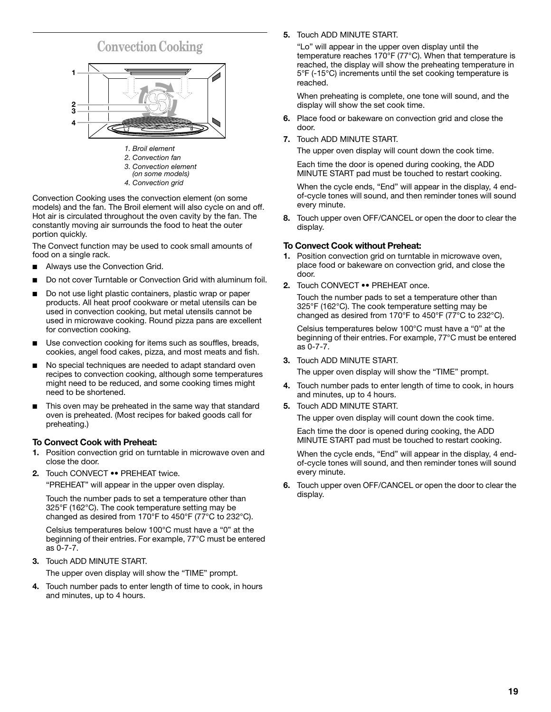



*(on some models)*

*4. Convection grid*

Convection Cooking uses the convection element (on some models) and the fan. The Broil element will also cycle on and off. Hot air is circulated throughout the oven cavity by the fan. The constantly moving air surrounds the food to heat the outer portion quickly.

The Convect function may be used to cook small amounts of food on a single rack.

- Always use the Convection Grid.
- Do not cover Turntable or Convection Grid with aluminum foil.
- Do not use light plastic containers, plastic wrap or paper products. All heat proof cookware or metal utensils can be used in convection cooking, but metal utensils cannot be used in microwave cooking. Round pizza pans are excellent for convection cooking.
- Use convection cooking for items such as souffles, breads, cookies, angel food cakes, pizza, and most meats and fish.
- No special techniques are needed to adapt standard oven recipes to convection cooking, although some temperatures might need to be reduced, and some cooking times might need to be shortened.
- This oven may be preheated in the same way that standard oven is preheated. (Most recipes for baked goods call for preheating.)

# **To Convect Cook with Preheat:**

- **1.** Position convection grid on turntable in microwave oven and close the door.
- **2.** Touch CONVECT •• PREHEAT twice.

"PREHEAT" will appear in the upper oven display.

Touch the number pads to set a temperature other than 325°F (162°C). The cook temperature setting may be changed as desired from 170°F to 450°F (77°C to 232°C).

Celsius temperatures below 100°C must have a "0" at the beginning of their entries. For example, 77°C must be entered as 0-7-7.

**3.** Touch ADD MINUTE START.

The upper oven display will show the "TIME" prompt.

**4.** Touch number pads to enter length of time to cook, in hours and minutes, up to 4 hours.

**5.** Touch ADD MINUTE START.

"Lo" will appear in the upper oven display until the temperature reaches 170°F (77°C). When that temperature is reached, the display will show the preheating temperature in 5°F (-15°C) increments until the set cooking temperature is reached.

When preheating is complete, one tone will sound, and the display will show the set cook time.

- **6.** Place food or bakeware on convection grid and close the door.
- **7.** Touch ADD MINUTE START.

The upper oven display will count down the cook time.

Each time the door is opened during cooking, the ADD MINUTE START pad must be touched to restart cooking.

When the cycle ends, "End" will appear in the display, 4 endof-cycle tones will sound, and then reminder tones will sound every minute.

**8.** Touch upper oven OFF/CANCEL or open the door to clear the display.

## **To Convect Cook without Preheat:**

- **1.** Position convection grid on turntable in microwave oven, place food or bakeware on convection grid, and close the door.
- **2.** Touch CONVECT •• PREHEAT once.

Touch the number pads to set a temperature other than 325°F (162°C). The cook temperature setting may be changed as desired from 170°F to 450°F (77°C to 232°C).

Celsius temperatures below 100°C must have a "0" at the beginning of their entries. For example, 77°C must be entered as 0-7-7.

**3.** Touch ADD MINUTE START.

The upper oven display will show the "TIME" prompt.

- **4.** Touch number pads to enter length of time to cook, in hours and minutes, up to 4 hours.
- **5.** Touch ADD MINUTE START.

The upper oven display will count down the cook time.

Each time the door is opened during cooking, the ADD MINUTE START pad must be touched to restart cooking.

When the cycle ends, "End" will appear in the display, 4 endof-cycle tones will sound, and then reminder tones will sound every minute.

**6.** Touch upper oven OFF/CANCEL or open the door to clear the display.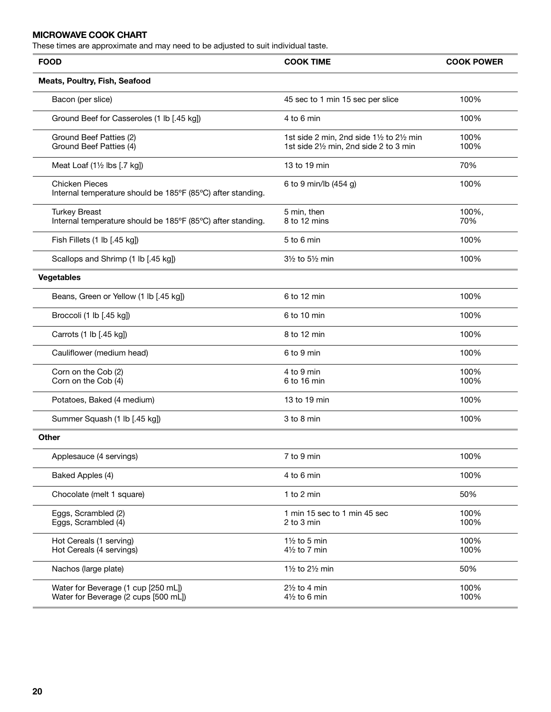# **MICROWAVE COOK CHART**

These times are approximate and may need to be adjusted to suit individual taste.

| <b>FOOD</b>                                                                          | <b>COOK TIME</b>                                                                    | <b>COOK POWER</b> |
|--------------------------------------------------------------------------------------|-------------------------------------------------------------------------------------|-------------------|
| Meats, Poultry, Fish, Seafood                                                        |                                                                                     |                   |
| Bacon (per slice)                                                                    | 45 sec to 1 min 15 sec per slice                                                    | 100%              |
| Ground Beef for Casseroles (1 lb [.45 kg])                                           | 4 to 6 min                                                                          | 100%              |
| Ground Beef Patties (2)<br>Ground Beef Patties (4)                                   | 1st side 2 min, 2nd side 11/2 to 21/2 min<br>1st side 21/2 min, 2nd side 2 to 3 min | 100%<br>100%      |
| Meat Loaf (11/2 lbs [.7 kg])                                                         | 13 to 19 min                                                                        | 70%               |
| <b>Chicken Pieces</b><br>Internal temperature should be 185°F (85°C) after standing. | 6 to 9 min/lb (454 g)                                                               | 100%              |
| <b>Turkey Breast</b><br>Internal temperature should be 185°F (85°C) after standing.  | 5 min, then<br>8 to 12 mins                                                         | 100%,<br>70%      |
| Fish Fillets (1 lb [.45 kg])                                                         | 5 to 6 min                                                                          | 100%              |
| Scallops and Shrimp (1 lb [.45 kg])                                                  | $3\frac{1}{2}$ to $5\frac{1}{2}$ min                                                | 100%              |
| <b>Vegetables</b>                                                                    |                                                                                     |                   |
| Beans, Green or Yellow (1 lb [.45 kg])                                               | 6 to 12 min                                                                         | 100%              |
| Broccoli (1 lb [.45 kg])                                                             | 6 to 10 min                                                                         | 100%              |
| Carrots (1 lb [.45 kg])                                                              | 8 to 12 min                                                                         | 100%              |
| Cauliflower (medium head)                                                            | 6 to 9 min                                                                          | 100%              |
| Corn on the Cob (2)<br>Corn on the Cob (4)                                           | 4 to 9 min<br>6 to 16 min                                                           | 100%<br>100%      |
| Potatoes, Baked (4 medium)                                                           | 13 to 19 min                                                                        | 100%              |
| Summer Squash (1 lb [.45 kg])                                                        | 3 to 8 min                                                                          | 100%              |
| <b>Other</b>                                                                         |                                                                                     |                   |
| Applesauce (4 servings)                                                              | 7 to 9 min                                                                          | 100%              |
| Baked Apples (4)                                                                     | 4 to 6 min                                                                          | 100%              |
| Chocolate (melt 1 square)                                                            | 1 to 2 min                                                                          | 50%               |
| Eggs, Scrambled (2)<br>Eggs, Scrambled (4)                                           | 1 min 15 sec to 1 min 45 sec<br>2 to 3 min                                          | 100%<br>100%      |
| Hot Cereals (1 serving)<br>Hot Cereals (4 servings)                                  | $1\frac{1}{2}$ to 5 min<br>$4\frac{1}{2}$ to 7 min                                  | 100%<br>100%      |
| Nachos (large plate)                                                                 | 11/2 to 21/2 min                                                                    | 50%               |
| Water for Beverage (1 cup [250 mL])<br>Water for Beverage (2 cups [500 mL])          | $2\frac{1}{2}$ to 4 min<br>$4\frac{1}{2}$ to 6 min                                  | 100%<br>100%      |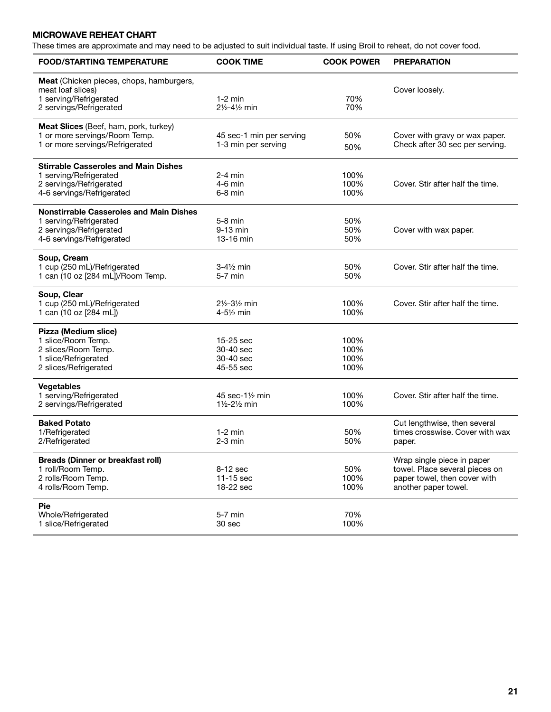# **MICROWAVE REHEAT CHART**

These times are approximate and may need to be adjusted to suit individual taste. If using Broil to reheat, do not cover food.

| <b>FOOD/STARTING TEMPERATURE</b>                                                                                                 | <b>COOK TIME</b>                                 | <b>COOK POWER</b>            | <b>PREPARATION</b>                                                                                                   |
|----------------------------------------------------------------------------------------------------------------------------------|--------------------------------------------------|------------------------------|----------------------------------------------------------------------------------------------------------------------|
| <b>Meat</b> (Chicken pieces, chops, hamburgers,<br>meat loaf slices)<br>1 serving/Refrigerated<br>2 servings/Refrigerated        | $1-2$ min<br>21/2-41/2 min                       | 70%<br>70%                   | Cover loosely.                                                                                                       |
| Meat Slices (Beef, ham, pork, turkey)<br>1 or more servings/Room Temp.<br>1 or more servings/Refrigerated                        | 45 sec-1 min per serving<br>1-3 min per serving  | 50%<br>50%                   | Cover with gravy or wax paper.<br>Check after 30 sec per serving.                                                    |
| <b>Stirrable Casseroles and Main Dishes</b><br>1 serving/Refrigerated<br>2 servings/Refrigerated<br>4-6 servings/Refrigerated    | $2-4$ min<br>4-6 min<br>$6-8$ min                | 100%<br>100%<br>100%         | Cover. Stir after half the time.                                                                                     |
| <b>Nonstirrable Casseroles and Main Dishes</b><br>1 serving/Refrigerated<br>2 servings/Refrigerated<br>4-6 servings/Refrigerated | $5-8$ min<br>9-13 min<br>13-16 min               | 50%<br>50%<br>50%            | Cover with wax paper.                                                                                                |
| Soup, Cream<br>1 cup (250 mL)/Refrigerated<br>1 can (10 oz [284 mL])/Room Temp.                                                  | 3-4½ min<br>$5-7$ min                            | 50%<br>50%                   | Cover. Stir after half the time.                                                                                     |
| Soup, Clear<br>1 cup (250 mL)/Refrigerated<br>1 can (10 oz [284 mL])                                                             | 21/2-31/2 min<br>4-51/2 min                      | 100%<br>100%                 | Cover. Stir after half the time.                                                                                     |
| Pizza (Medium slice)<br>1 slice/Room Temp.<br>2 slices/Room Temp.<br>1 slice/Refrigerated<br>2 slices/Refrigerated               | 15-25 sec<br>30-40 sec<br>30-40 sec<br>45-55 sec | 100%<br>100%<br>100%<br>100% |                                                                                                                      |
| <b>Vegetables</b><br>1 serving/Refrigerated<br>2 servings/Refrigerated                                                           | 45 sec-11/2 min<br>11/2-21/2 min                 | 100%<br>100%                 | Cover. Stir after half the time.                                                                                     |
| <b>Baked Potato</b><br>1/Refrigerated<br>2/Refrigerated                                                                          | $1-2$ min<br>$2-3$ min                           | 50%<br>50%                   | Cut lengthwise, then several<br>times crosswise. Cover with wax<br>paper.                                            |
| <b>Breads (Dinner or breakfast roll)</b><br>1 roll/Room Temp.<br>2 rolls/Room Temp.<br>4 rolls/Room Temp.                        | 8-12 sec<br>11-15 sec<br>18-22 sec               | 50%<br>100%<br>100%          | Wrap single piece in paper<br>towel. Place several pieces on<br>paper towel, then cover with<br>another paper towel. |
| <b>Pie</b><br>Whole/Refrigerated<br>1 slice/Refrigerated                                                                         | 5-7 min<br>30 sec                                | 70%<br>100%                  |                                                                                                                      |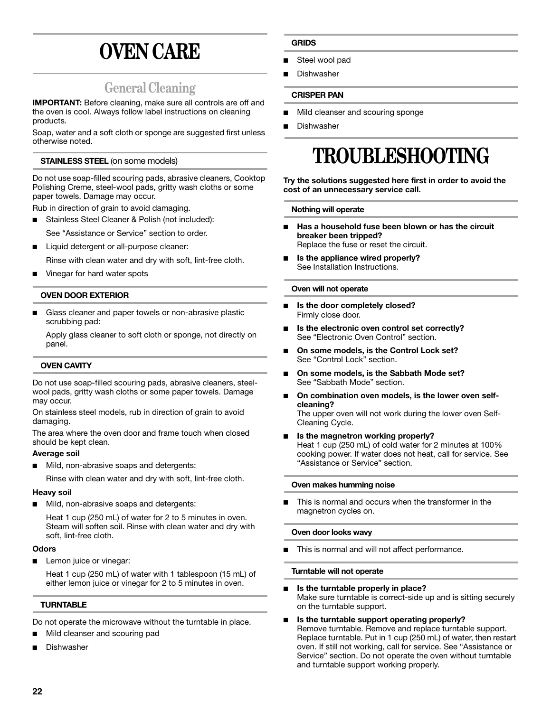# **OVEN CARE**

# **General Cleaning**

**IMPORTANT:** Before cleaning, make sure all controls are off and the oven is cool. Always follow label instructions on cleaning products.

Soap, water and a soft cloth or sponge are suggested first unless otherwise noted.

## **STAINLESS STEEL** (on some models)

Do not use soap-filled scouring pads, abrasive cleaners, Cooktop Polishing Creme, steel-wool pads, gritty wash cloths or some paper towels. Damage may occur.

Rub in direction of grain to avoid damaging.

- Stainless Steel Cleaner & Polish (not included):
- See "Assistance or Service" section to order.
- Liquid detergent or all-purpose cleaner:

Rinse with clean water and dry with soft, lint-free cloth.

Vinegar for hard water spots

### **OVEN DOOR EXTERIOR**

Glass cleaner and paper towels or non-abrasive plastic scrubbing pad:

Apply glass cleaner to soft cloth or sponge, not directly on panel.

#### **OVEN CAVITY**

Do not use soap-filled scouring pads, abrasive cleaners, steelwool pads, gritty wash cloths or some paper towels. Damage may occur.

On stainless steel models, rub in direction of grain to avoid damaging.

The area where the oven door and frame touch when closed should be kept clean.

#### **Average soil**

Mild, non-abrasive soaps and detergents:

Rinse with clean water and dry with soft, lint-free cloth.

#### **Heavy soil**

Mild, non-abrasive soaps and detergents:

Heat 1 cup (250 mL) of water for 2 to 5 minutes in oven. Steam will soften soil. Rinse with clean water and dry with soft, lint-free cloth.

#### **Odors**

Lemon juice or vinegar:

Heat 1 cup (250 mL) of water with 1 tablespoon (15 mL) of either lemon juice or vinegar for 2 to 5 minutes in oven.

#### **TURNTABLE**

Do not operate the microwave without the turntable in place.

- Mild cleanser and scouring pad
- **Dishwasher**

### **GRIDS**

- Steel wool pad
- **Dishwasher**

#### **CRISPER PAN**

- Mild cleanser and scouring sponge
- **Dishwasher**

# **TROUBLESHOOTING**

**Try the solutions suggested here first in order to avoid the cost of an unnecessary service call.**

#### **Nothing will operate**

- Has a household fuse been blown or has the circuit **breaker been tripped?** Replace the fuse or reset the circuit.
- Is the appliance wired properly? See Installation Instructions.

#### **Oven will not operate**

- Is the door completely closed? Firmly close door.
- Is the electronic oven control set correctly? See "Electronic Oven Control" section.
- **On some models, is the Control Lock set?** See "Control Lock" section.
- On some models, is the Sabbath Mode set? See "Sabbath Mode" section.
- On combination oven models, is the lower oven self**cleaning?** The upper oven will not work during the lower oven Self-Cleaning Cycle.
- **Is the magnetron working properly?** Heat 1 cup (250 mL) of cold water for 2 minutes at 100% cooking power. If water does not heat, call for service. See "Assistance or Service" section.

#### **Oven makes humming noise**

This is normal and occurs when the transformer in the magnetron cycles on.

#### **Oven door looks wavy**

This is normal and will not affect performance.

#### **Turntable will not operate**

■ **Is the turntable properly in place?**

Make sure turntable is correct-side up and is sitting securely on the turntable support.

Is the turntable support operating properly? Remove turntable. Remove and replace turntable support. Replace turntable. Put in 1 cup (250 mL) of water, then restart oven. If still not working, call for service. See "Assistance or Service" section. Do not operate the oven without turntable and turntable support working properly.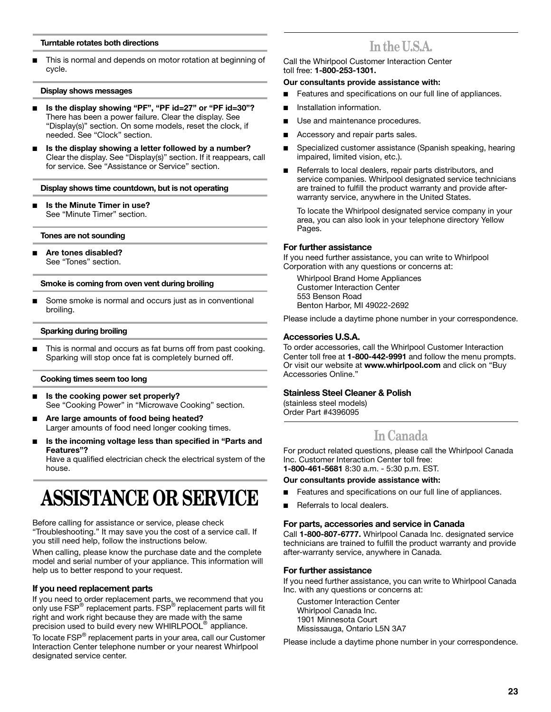#### **Turntable rotates both directions**

This is normal and depends on motor rotation at beginning of cycle.

#### **Display shows messages**

- Is the display showing "PF", "PF id=27" or "PF id=30"? There has been a power failure. Clear the display. See "Display(s)" section. On some models, reset the clock, if needed. See "Clock" section.
- Is the display showing a letter followed by a number? Clear the display. See "Display(s)" section. If it reappears, call for service. See "Assistance or Service" section.

#### **Display shows time countdown, but is not operating**

**Is the Minute Timer in use?** See "Minute Timer" section.

#### **Tones are not sounding**

■ **Are tones disabled?** See "Tones" section.

#### **Smoke is coming from oven vent during broiling**

Some smoke is normal and occurs just as in conventional broiling.

#### **Sparking during broiling**

This is normal and occurs as fat burns off from past cooking. Sparking will stop once fat is completely burned off.

#### **Cooking times seem too long**

- Is the cooking power set properly? See "Cooking Power" in "Microwave Cooking" section.
- Are large amounts of food being heated? Larger amounts of food need longer cooking times.
- Is the incoming voltage less than specified in "Parts and **Features"?**

Have a qualified electrician check the electrical system of the house.

# **ASSISTANCE OR SERVICE**

Before calling for assistance or service, please check "Troubleshooting." It may save you the cost of a service call. If you still need help, follow the instructions below.

When calling, please know the purchase date and the complete model and serial number of your appliance. This information will help us to better respond to your request.

#### **If you need replacement parts**

If you need to order replacement parts, we recommend that you<br>only use FSP® replacement parts. FSP® replacement parts will fit right and work right because they are made with the same precision used to build every new WHIRLPOOL® appliance.

To locate FSP® replacement parts in your area, call our Customer Interaction Center telephone number or your nearest Whirlpool designated service center.

# **In the U.S.A.**

Call the Whirlpool Customer Interaction Center toll free: **1-800-253-1301.**

#### **Our consultants provide assistance with:**

- Features and specifications on our full line of appliances.
- Installation information.
- Use and maintenance procedures.
- Accessory and repair parts sales.
- Specialized customer assistance (Spanish speaking, hearing impaired, limited vision, etc.).
- Referrals to local dealers, repair parts distributors, and service companies. Whirlpool designated service technicians are trained to fulfill the product warranty and provide afterwarranty service, anywhere in the United States.

To locate the Whirlpool designated service company in your area, you can also look in your telephone directory Yellow Pages.

#### **For further assistance**

If you need further assistance, you can write to Whirlpool Corporation with any questions or concerns at:

Whirlpool Brand Home Appliances Customer Interaction Center 553 Benson Road Benton Harbor, MI 49022-2692

Please include a daytime phone number in your correspondence.

#### **Accessories U.S.A.**

To order accessories, call the Whirlpool Customer Interaction Center toll free at **1-800-442-9991** and follow the menu prompts. Or visit our website at **www.whirlpool.com** and click on "Buy Accessories Online."

### **Stainless Steel Cleaner & Polish**

(stainless steel models) Order Part #4396095

# **In Canada**

For product related questions, please call the Whirlpool Canada Inc. Customer Interaction Center toll free: **1-800-461-5681** 8:30 a.m. - 5:30 p.m. EST.

#### **Our consultants provide assistance with:**

- Features and specifications on our full line of appliances.
- Referrals to local dealers.

#### **For parts, accessories and service in Canada**

Call **1-800-807-6777.** Whirlpool Canada Inc. designated service technicians are trained to fulfill the product warranty and provide after-warranty service, anywhere in Canada.

#### **For further assistance**

If you need further assistance, you can write to Whirlpool Canada Inc. with any questions or concerns at:

Customer Interaction Center Whirlpool Canada Inc. 1901 Minnesota Court Mississauga, Ontario L5N 3A7

Please include a daytime phone number in your correspondence.